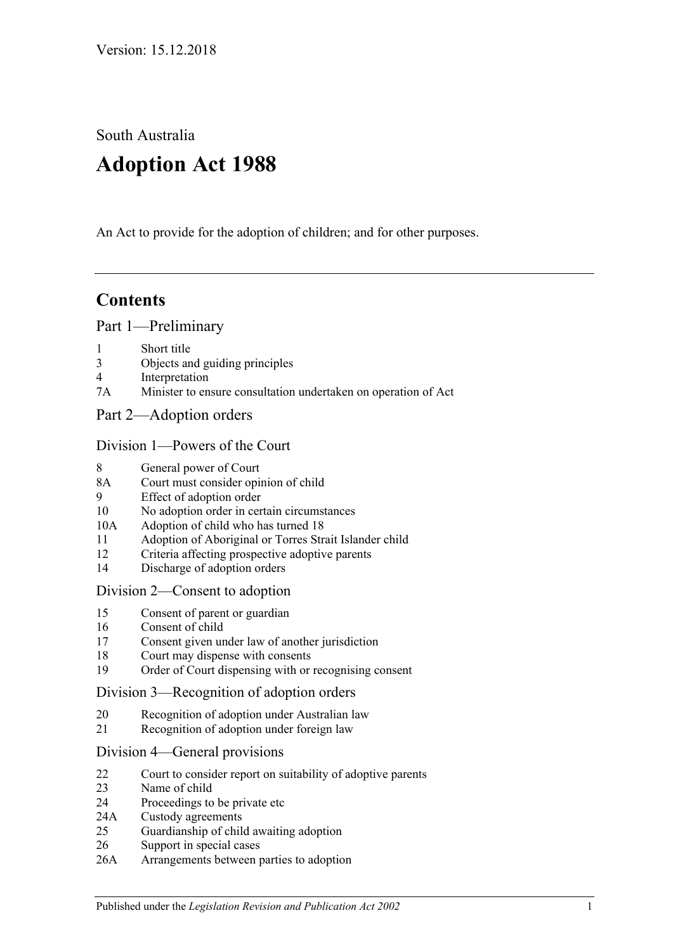South Australia

# **Adoption Act 1988**

An Act to provide for the adoption of children; and for other purposes.

# **Contents**

### [Part 1—Preliminary](#page-1-0)

- 1 [Short title](#page-1-1)
- 3 [Objects and guiding principles](#page-1-2)
- 4 [Interpretation](#page-2-0)
- 7A [Minister to ensure consultation undertaken on operation of Act](#page-4-0)
- [Part 2—Adoption orders](#page-4-1)

### [Division 1—Powers of the Court](#page-4-2)

- 8 [General power of Court](#page-4-3)
- 8A [Court must consider opinion of child](#page-5-0)
- 9 [Effect of adoption order](#page-5-1)
- 10 [No adoption order in certain circumstances](#page-5-2)
- 10A [Adoption of child who has turned 18](#page-6-0)
- 11 [Adoption of Aboriginal or Torres Strait Islander child](#page-6-1)
- 12 [Criteria affecting prospective adoptive parents](#page-7-0)
- 14 [Discharge of adoption orders](#page-8-0)

### [Division 2—Consent to adoption](#page-9-0)

- 15 [Consent of parent or guardian](#page-9-1)
- 16 [Consent of child](#page-10-0)
- 17 [Consent given under law of another jurisdiction](#page-11-0)
- 18 [Court may dispense with consents](#page-11-1)
- 19 [Order of Court dispensing with or recognising consent](#page-11-2)

### [Division 3—Recognition of adoption orders](#page-11-3)

- 20 [Recognition of adoption under Australian law](#page-11-4)
- 21 [Recognition of adoption under foreign law](#page-11-5)

### [Division 4—General provisions](#page-12-0)

- 22 [Court to consider report on suitability of adoptive parents](#page-12-1)
- 23 [Name of child](#page-12-2)
- 24 [Proceedings to be private etc](#page-13-0)
- 24A [Custody agreements](#page-13-1)
- 25 [Guardianship of child awaiting adoption](#page-14-0)
- 26 [Support in special cases](#page-15-0)
- 26A [Arrangements between parties to adoption](#page-15-1)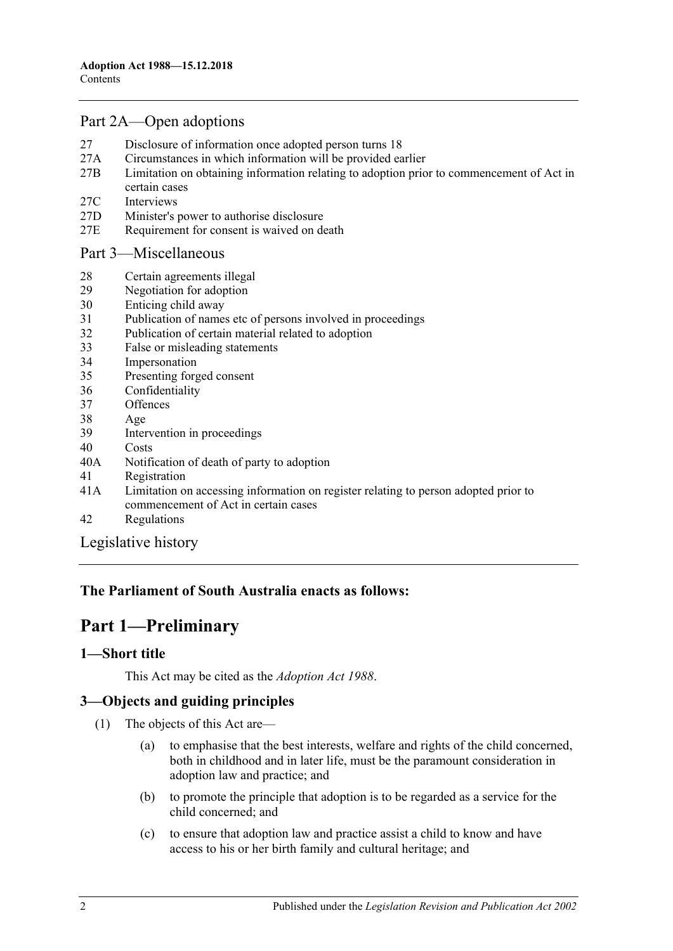# [Part 2A—Open adoptions](#page-15-2)

- 27 [Disclosure of information once adopted person turns 18](#page-15-3)
- 27A [Circumstances in which information will be provided earlier](#page-17-0)
- 27B [Limitation on obtaining information relating to adoption prior to commencement of Act in](#page-17-1)  [certain cases](#page-17-1)
- 27C [Interviews](#page-18-0)
- 27D [Minister's power to authorise disclosure](#page-18-1)
- 27E [Requirement for consent is waived on death](#page-18-2)

### [Part 3—Miscellaneous](#page-18-3)

- 28 [Certain agreements illegal](#page-18-4)<br>29 Negotiation for adoption
- [Negotiation for adoption](#page-18-5)
- 30 [Enticing child away](#page-19-0)
- 31 [Publication of names etc of persons involved in proceedings](#page-19-1)
- 32 [Publication of certain material related to adoption](#page-19-2)
- 33 [False or misleading statements](#page-20-0)
- 34 [Impersonation](#page-20-1)
- 35 [Presenting forged consent](#page-20-2)
- 36 [Confidentiality](#page-20-3)
- 37 [Offences](#page-20-4)
- 38 [Age](#page-20-5)
- 39 [Intervention in proceedings](#page-20-6)
- 40 [Costs](#page-21-0)
- 40A [Notification of death of party to adoption](#page-21-1)
- 41 [Registration](#page-21-2)
- 41A [Limitation on accessing information on register relating to person adopted prior to](#page-23-0)  [commencement of Act in certain cases](#page-23-0)
- 42 [Regulations](#page-24-0)

[Legislative history](#page-26-0)

# <span id="page-1-0"></span>**The Parliament of South Australia enacts as follows:**

# **Part 1—Preliminary**

### <span id="page-1-1"></span>**1—Short title**

This Act may be cited as the *Adoption Act 1988*.

# <span id="page-1-2"></span>**3—Objects and guiding principles**

- (1) The objects of this Act are—
	- (a) to emphasise that the best interests, welfare and rights of the child concerned, both in childhood and in later life, must be the paramount consideration in adoption law and practice; and
	- (b) to promote the principle that adoption is to be regarded as a service for the child concerned; and
	- (c) to ensure that adoption law and practice assist a child to know and have access to his or her birth family and cultural heritage; and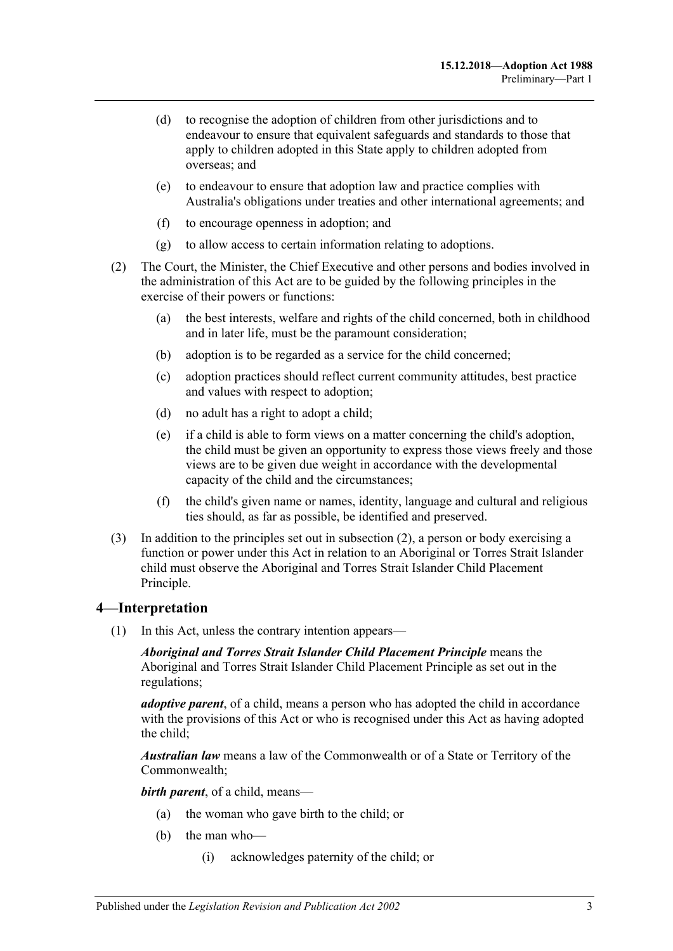- (d) to recognise the adoption of children from other jurisdictions and to endeavour to ensure that equivalent safeguards and standards to those that apply to children adopted in this State apply to children adopted from overseas; and
- (e) to endeavour to ensure that adoption law and practice complies with Australia's obligations under treaties and other international agreements; and
- (f) to encourage openness in adoption; and
- (g) to allow access to certain information relating to adoptions.
- <span id="page-2-1"></span>(2) The Court, the Minister, the Chief Executive and other persons and bodies involved in the administration of this Act are to be guided by the following principles in the exercise of their powers or functions:
	- (a) the best interests, welfare and rights of the child concerned, both in childhood and in later life, must be the paramount consideration;
	- (b) adoption is to be regarded as a service for the child concerned;
	- (c) adoption practices should reflect current community attitudes, best practice and values with respect to adoption;
	- (d) no adult has a right to adopt a child;
	- (e) if a child is able to form views on a matter concerning the child's adoption, the child must be given an opportunity to express those views freely and those views are to be given due weight in accordance with the developmental capacity of the child and the circumstances;
	- (f) the child's given name or names, identity, language and cultural and religious ties should, as far as possible, be identified and preserved.
- (3) In addition to the principles set out in [subsection](#page-2-1) (2), a person or body exercising a function or power under this Act in relation to an Aboriginal or Torres Strait Islander child must observe the Aboriginal and Torres Strait Islander Child Placement Principle.

### <span id="page-2-0"></span>**4—Interpretation**

(1) In this Act, unless the contrary intention appears—

*Aboriginal and Torres Strait Islander Child Placement Principle* means the Aboriginal and Torres Strait Islander Child Placement Principle as set out in the regulations;

*adoptive parent*, of a child, means a person who has adopted the child in accordance with the provisions of this Act or who is recognised under this Act as having adopted the child;

*Australian law* means a law of the Commonwealth or of a State or Territory of the Commonwealth;

*birth parent*, of a child, means—

- (a) the woman who gave birth to the child; or
- (b) the man who—
	- (i) acknowledges paternity of the child; or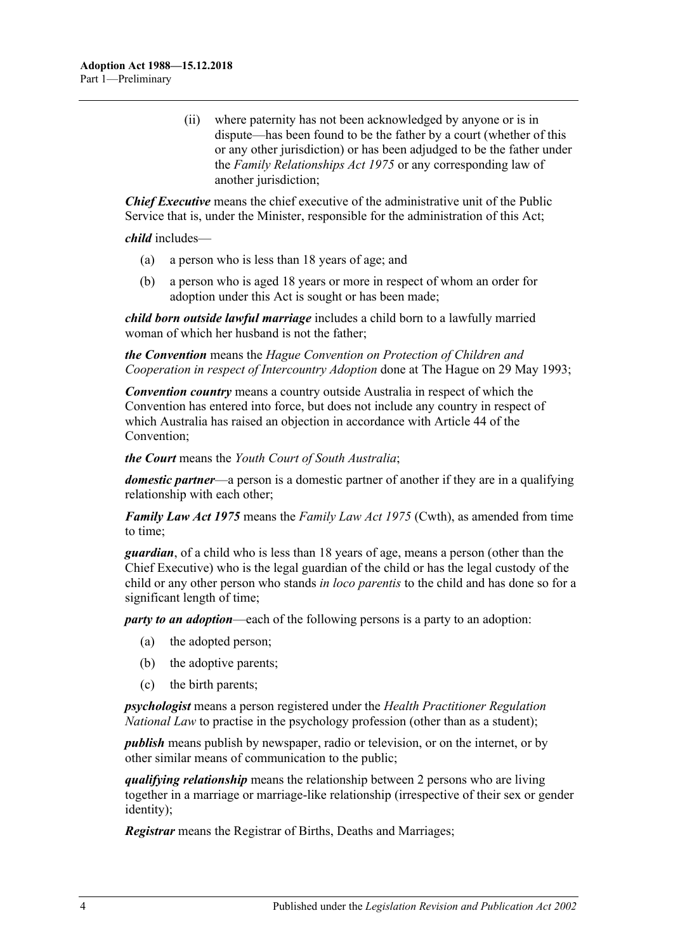(ii) where paternity has not been acknowledged by anyone or is in dispute—has been found to be the father by a court (whether of this or any other jurisdiction) or has been adjudged to be the father under the *[Family Relationships Act](http://www.legislation.sa.gov.au/index.aspx?action=legref&type=act&legtitle=Family%20Relationships%20Act%201975) 1975* or any corresponding law of another jurisdiction;

*Chief Executive* means the chief executive of the administrative unit of the Public Service that is, under the Minister, responsible for the administration of this Act;

*child* includes—

- (a) a person who is less than 18 years of age; and
- (b) a person who is aged 18 years or more in respect of whom an order for adoption under this Act is sought or has been made;

*child born outside lawful marriage* includes a child born to a lawfully married woman of which her husband is not the father;

*the Convention* means the *Hague Convention on Protection of Children and Cooperation in respect of Intercountry Adoption* done at The Hague on 29 May 1993;

*Convention country* means a country outside Australia in respect of which the Convention has entered into force, but does not include any country in respect of which Australia has raised an objection in accordance with Article 44 of the Convention;

*the Court* means the *Youth Court of South Australia*;

*domestic partner*—a person is a domestic partner of another if they are in a qualifying relationship with each other;

*Family Law Act 1975* means the *Family Law Act 1975* (Cwth), as amended from time to time;

*guardian*, of a child who is less than 18 years of age, means a person (other than the Chief Executive) who is the legal guardian of the child or has the legal custody of the child or any other person who stands *in loco parentis* to the child and has done so for a significant length of time;

*party to an adoption*—each of the following persons is a party to an adoption:

- (a) the adopted person;
- (b) the adoptive parents;
- (c) the birth parents;

*psychologist* means a person registered under the *[Health Practitioner Regulation](http://www.legislation.sa.gov.au/index.aspx?action=legref&type=act&legtitle=Health%20Practitioner%20Regulation%20National%20Law)  [National Law](http://www.legislation.sa.gov.au/index.aspx?action=legref&type=act&legtitle=Health%20Practitioner%20Regulation%20National%20Law)* to practise in the psychology profession (other than as a student);

*publish* means publish by newspaper, radio or television, or on the internet, or by other similar means of communication to the public;

*qualifying relationship* means the relationship between 2 persons who are living together in a marriage or marriage-like relationship (irrespective of their sex or gender identity);

*Registrar* means the Registrar of Births, Deaths and Marriages;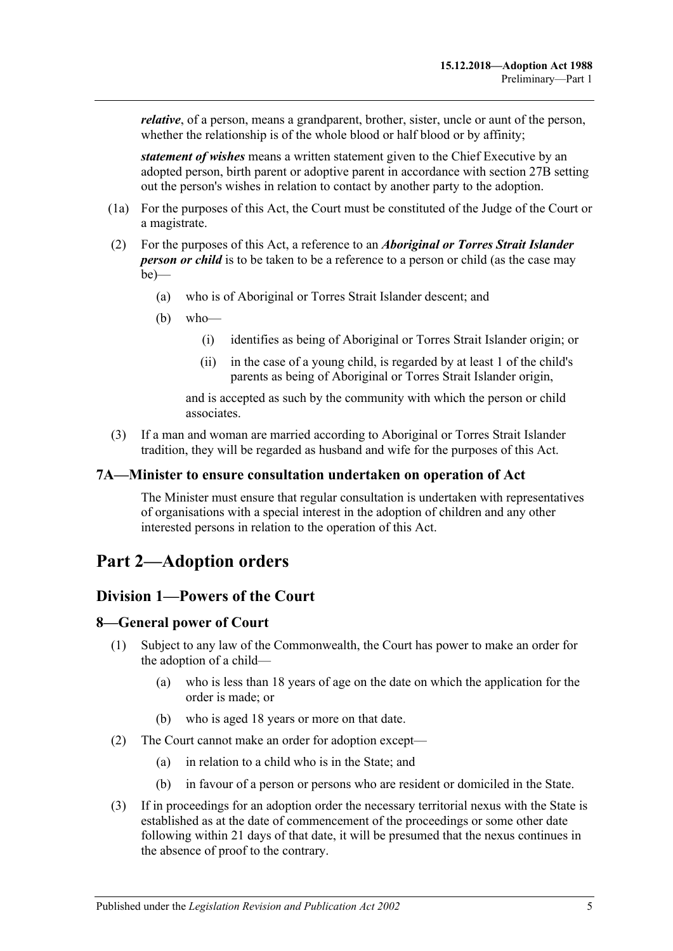*relative*, of a person, means a grandparent, brother, sister, uncle or aunt of the person, whether the relationship is of the whole blood or half blood or by affinity;

*statement of wishes* means a written statement given to the Chief Executive by an adopted person, birth parent or adoptive parent in accordance with [section](#page-17-1) 27B setting out the person's wishes in relation to contact by another party to the adoption.

- (1a) For the purposes of this Act, the Court must be constituted of the Judge of the Court or a magistrate.
- (2) For the purposes of this Act, a reference to an *Aboriginal or Torres Strait Islander person or child* is to be taken to be a reference to a person or child (as the case may  $be)$ —
	- (a) who is of Aboriginal or Torres Strait Islander descent; and
	- (b) who—
		- (i) identifies as being of Aboriginal or Torres Strait Islander origin; or
		- (ii) in the case of a young child, is regarded by at least 1 of the child's parents as being of Aboriginal or Torres Strait Islander origin,

and is accepted as such by the community with which the person or child associates.

(3) If a man and woman are married according to Aboriginal or Torres Strait Islander tradition, they will be regarded as husband and wife for the purposes of this Act.

#### <span id="page-4-0"></span>**7A—Minister to ensure consultation undertaken on operation of Act**

The Minister must ensure that regular consultation is undertaken with representatives of organisations with a special interest in the adoption of children and any other interested persons in relation to the operation of this Act.

# <span id="page-4-2"></span><span id="page-4-1"></span>**Part 2—Adoption orders**

### **Division 1—Powers of the Court**

### <span id="page-4-3"></span>**8—General power of Court**

- (1) Subject to any law of the Commonwealth, the Court has power to make an order for the adoption of a child—
	- (a) who is less than 18 years of age on the date on which the application for the order is made; or
	- (b) who is aged 18 years or more on that date.
- (2) The Court cannot make an order for adoption except—
	- (a) in relation to a child who is in the State; and
	- (b) in favour of a person or persons who are resident or domiciled in the State.
- (3) If in proceedings for an adoption order the necessary territorial nexus with the State is established as at the date of commencement of the proceedings or some other date following within 21 days of that date, it will be presumed that the nexus continues in the absence of proof to the contrary.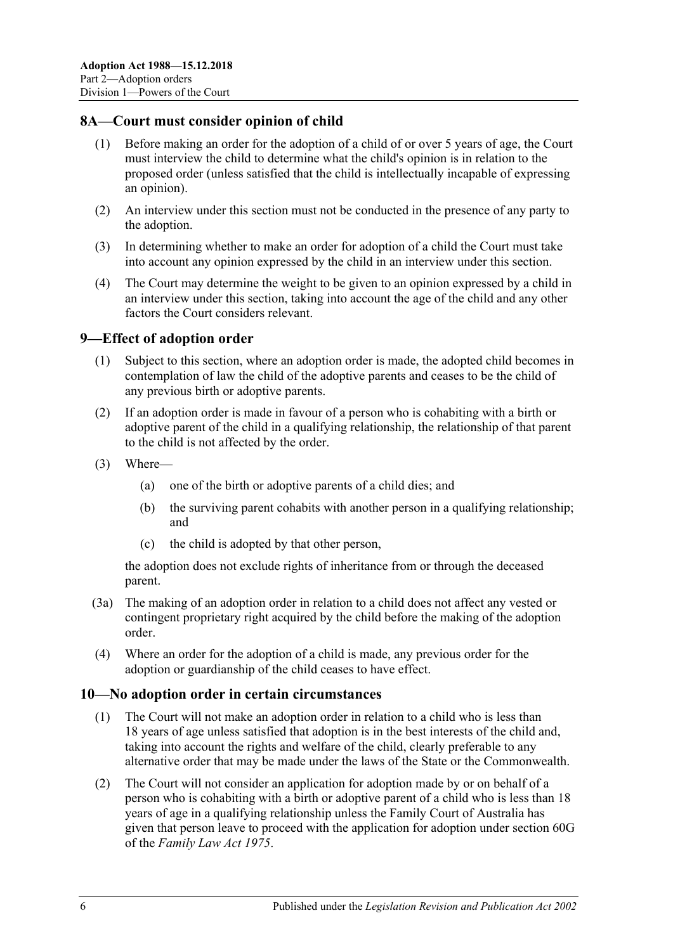## <span id="page-5-0"></span>**8A—Court must consider opinion of child**

- (1) Before making an order for the adoption of a child of or over 5 years of age, the Court must interview the child to determine what the child's opinion is in relation to the proposed order (unless satisfied that the child is intellectually incapable of expressing an opinion).
- (2) An interview under this section must not be conducted in the presence of any party to the adoption.
- (3) In determining whether to make an order for adoption of a child the Court must take into account any opinion expressed by the child in an interview under this section.
- (4) The Court may determine the weight to be given to an opinion expressed by a child in an interview under this section, taking into account the age of the child and any other factors the Court considers relevant.

### <span id="page-5-1"></span>**9—Effect of adoption order**

- (1) Subject to this section, where an adoption order is made, the adopted child becomes in contemplation of law the child of the adoptive parents and ceases to be the child of any previous birth or adoptive parents.
- (2) If an adoption order is made in favour of a person who is cohabiting with a birth or adoptive parent of the child in a qualifying relationship, the relationship of that parent to the child is not affected by the order.
- (3) Where—
	- (a) one of the birth or adoptive parents of a child dies; and
	- (b) the surviving parent cohabits with another person in a qualifying relationship; and
	- (c) the child is adopted by that other person,

the adoption does not exclude rights of inheritance from or through the deceased parent.

- (3a) The making of an adoption order in relation to a child does not affect any vested or contingent proprietary right acquired by the child before the making of the adoption order.
- (4) Where an order for the adoption of a child is made, any previous order for the adoption or guardianship of the child ceases to have effect.

### <span id="page-5-2"></span>**10—No adoption order in certain circumstances**

- (1) The Court will not make an adoption order in relation to a child who is less than 18 years of age unless satisfied that adoption is in the best interests of the child and, taking into account the rights and welfare of the child, clearly preferable to any alternative order that may be made under the laws of the State or the Commonwealth.
- (2) The Court will not consider an application for adoption made by or on behalf of a person who is cohabiting with a birth or adoptive parent of a child who is less than 18 years of age in a qualifying relationship unless the Family Court of Australia has given that person leave to proceed with the application for adoption under section 60G of the *Family Law Act 1975*.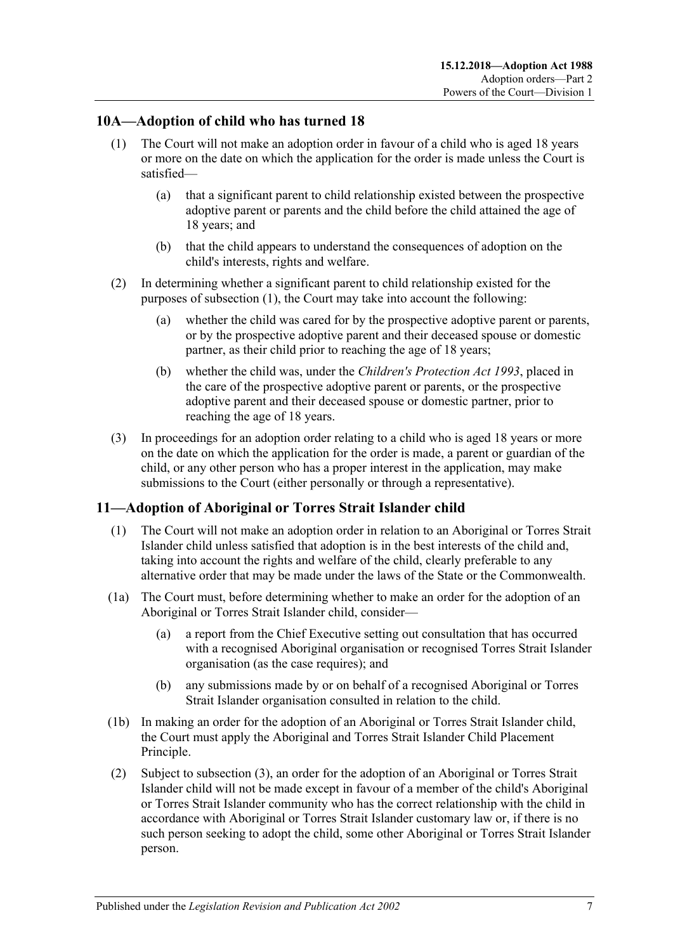## <span id="page-6-2"></span><span id="page-6-0"></span>**10A—Adoption of child who has turned 18**

- (1) The Court will not make an adoption order in favour of a child who is aged 18 years or more on the date on which the application for the order is made unless the Court is satisfied—
	- (a) that a significant parent to child relationship existed between the prospective adoptive parent or parents and the child before the child attained the age of 18 years; and
	- (b) that the child appears to understand the consequences of adoption on the child's interests, rights and welfare.
- (2) In determining whether a significant parent to child relationship existed for the purposes of [subsection](#page-6-2) (1), the Court may take into account the following:
	- (a) whether the child was cared for by the prospective adoptive parent or parents, or by the prospective adoptive parent and their deceased spouse or domestic partner, as their child prior to reaching the age of 18 years;
	- (b) whether the child was, under the *[Children's Protection Act](http://www.legislation.sa.gov.au/index.aspx?action=legref&type=act&legtitle=Childrens%20Protection%20Act%201993) 1993*, placed in the care of the prospective adoptive parent or parents, or the prospective adoptive parent and their deceased spouse or domestic partner, prior to reaching the age of 18 years.
- (3) In proceedings for an adoption order relating to a child who is aged 18 years or more on the date on which the application for the order is made, a parent or guardian of the child, or any other person who has a proper interest in the application, may make submissions to the Court (either personally or through a representative).

# <span id="page-6-1"></span>**11—Adoption of Aboriginal or Torres Strait Islander child**

- (1) The Court will not make an adoption order in relation to an Aboriginal or Torres Strait Islander child unless satisfied that adoption is in the best interests of the child and, taking into account the rights and welfare of the child, clearly preferable to any alternative order that may be made under the laws of the State or the Commonwealth.
- (1a) The Court must, before determining whether to make an order for the adoption of an Aboriginal or Torres Strait Islander child, consider—
	- (a) a report from the Chief Executive setting out consultation that has occurred with a recognised Aboriginal organisation or recognised Torres Strait Islander organisation (as the case requires); and
	- (b) any submissions made by or on behalf of a recognised Aboriginal or Torres Strait Islander organisation consulted in relation to the child.
- (1b) In making an order for the adoption of an Aboriginal or Torres Strait Islander child, the Court must apply the Aboriginal and Torres Strait Islander Child Placement Principle.
- (2) Subject to [subsection](#page-7-1) (3), an order for the adoption of an Aboriginal or Torres Strait Islander child will not be made except in favour of a member of the child's Aboriginal or Torres Strait Islander community who has the correct relationship with the child in accordance with Aboriginal or Torres Strait Islander customary law or, if there is no such person seeking to adopt the child, some other Aboriginal or Torres Strait Islander person.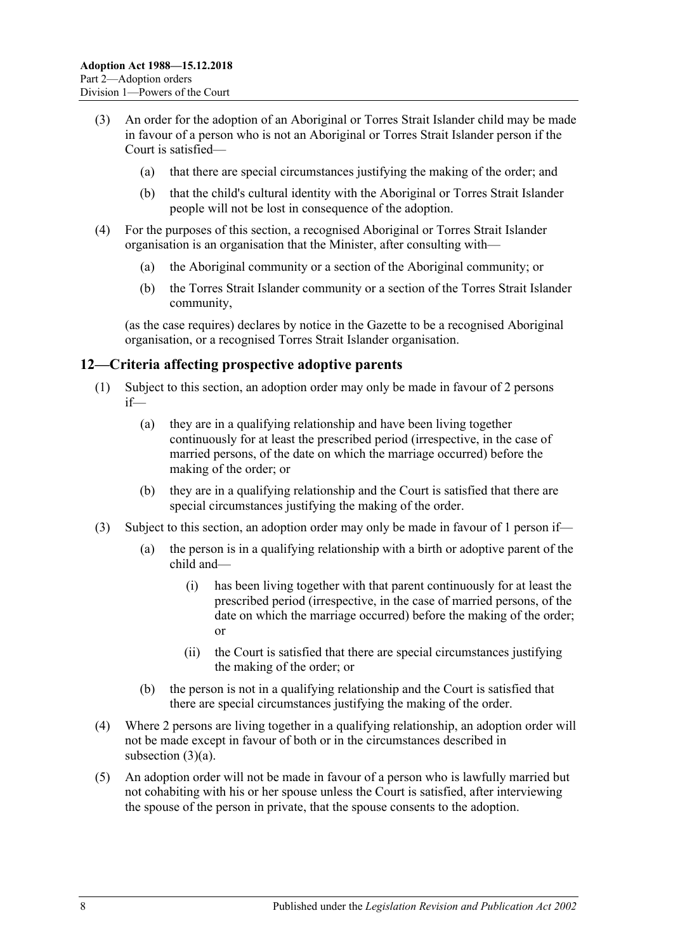- <span id="page-7-1"></span>(3) An order for the adoption of an Aboriginal or Torres Strait Islander child may be made in favour of a person who is not an Aboriginal or Torres Strait Islander person if the Court is satisfied—
	- (a) that there are special circumstances justifying the making of the order; and
	- (b) that the child's cultural identity with the Aboriginal or Torres Strait Islander people will not be lost in consequence of the adoption.
- (4) For the purposes of this section, a recognised Aboriginal or Torres Strait Islander organisation is an organisation that the Minister, after consulting with—
	- (a) the Aboriginal community or a section of the Aboriginal community; or
	- (b) the Torres Strait Islander community or a section of the Torres Strait Islander community,

(as the case requires) declares by notice in the Gazette to be a recognised Aboriginal organisation, or a recognised Torres Strait Islander organisation.

### <span id="page-7-0"></span>**12—Criteria affecting prospective adoptive parents**

- (1) Subject to this section, an adoption order may only be made in favour of 2 persons if—
	- (a) they are in a qualifying relationship and have been living together continuously for at least the prescribed period (irrespective, in the case of married persons, of the date on which the marriage occurred) before the making of the order; or
	- (b) they are in a qualifying relationship and the Court is satisfied that there are special circumstances justifying the making of the order.
- <span id="page-7-2"></span>(3) Subject to this section, an adoption order may only be made in favour of 1 person if—
	- (a) the person is in a qualifying relationship with a birth or adoptive parent of the child and—
		- (i) has been living together with that parent continuously for at least the prescribed period (irrespective, in the case of married persons, of the date on which the marriage occurred) before the making of the order; or
		- (ii) the Court is satisfied that there are special circumstances justifying the making of the order; or
	- (b) the person is not in a qualifying relationship and the Court is satisfied that there are special circumstances justifying the making of the order.
- (4) Where 2 persons are living together in a qualifying relationship, an adoption order will not be made except in favour of both or in the circumstances described in [subsection](#page-7-2) (3)(a).
- (5) An adoption order will not be made in favour of a person who is lawfully married but not cohabiting with his or her spouse unless the Court is satisfied, after interviewing the spouse of the person in private, that the spouse consents to the adoption.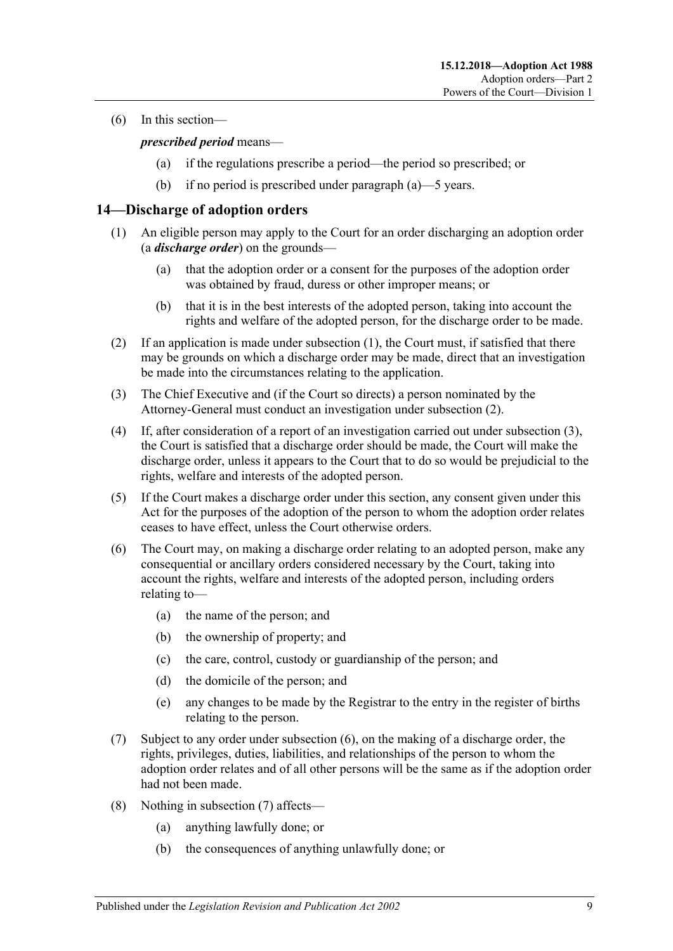<span id="page-8-1"></span>(6) In this section—

### *prescribed period* means—

- (a) if the regulations prescribe a period—the period so prescribed; or
- (b) if no period is prescribed under [paragraph](#page-8-1) (a)—5 years.

## <span id="page-8-2"></span><span id="page-8-0"></span>**14—Discharge of adoption orders**

- (1) An eligible person may apply to the Court for an order discharging an adoption order (a *discharge order*) on the grounds—
	- (a) that the adoption order or a consent for the purposes of the adoption order was obtained by fraud, duress or other improper means; or
	- (b) that it is in the best interests of the adopted person, taking into account the rights and welfare of the adopted person, for the discharge order to be made.
- <span id="page-8-3"></span>(2) If an application is made under [subsection](#page-8-2) (1), the Court must, if satisfied that there may be grounds on which a discharge order may be made, direct that an investigation be made into the circumstances relating to the application.
- <span id="page-8-4"></span>(3) The Chief Executive and (if the Court so directs) a person nominated by the Attorney-General must conduct an investigation under [subsection](#page-8-3) (2).
- (4) If, after consideration of a report of an investigation carried out under [subsection](#page-8-4) (3), the Court is satisfied that a discharge order should be made, the Court will make the discharge order, unless it appears to the Court that to do so would be prejudicial to the rights, welfare and interests of the adopted person.
- (5) If the Court makes a discharge order under this section, any consent given under this Act for the purposes of the adoption of the person to whom the adoption order relates ceases to have effect, unless the Court otherwise orders.
- <span id="page-8-5"></span>(6) The Court may, on making a discharge order relating to an adopted person, make any consequential or ancillary orders considered necessary by the Court, taking into account the rights, welfare and interests of the adopted person, including orders relating to—
	- (a) the name of the person; and
	- (b) the ownership of property; and
	- (c) the care, control, custody or guardianship of the person; and
	- (d) the domicile of the person; and
	- (e) any changes to be made by the Registrar to the entry in the register of births relating to the person.
- <span id="page-8-6"></span>(7) Subject to any order under [subsection](#page-8-5) (6), on the making of a discharge order, the rights, privileges, duties, liabilities, and relationships of the person to whom the adoption order relates and of all other persons will be the same as if the adoption order had not been made.
- (8) Nothing in [subsection](#page-8-6) (7) affects—
	- (a) anything lawfully done; or
	- (b) the consequences of anything unlawfully done; or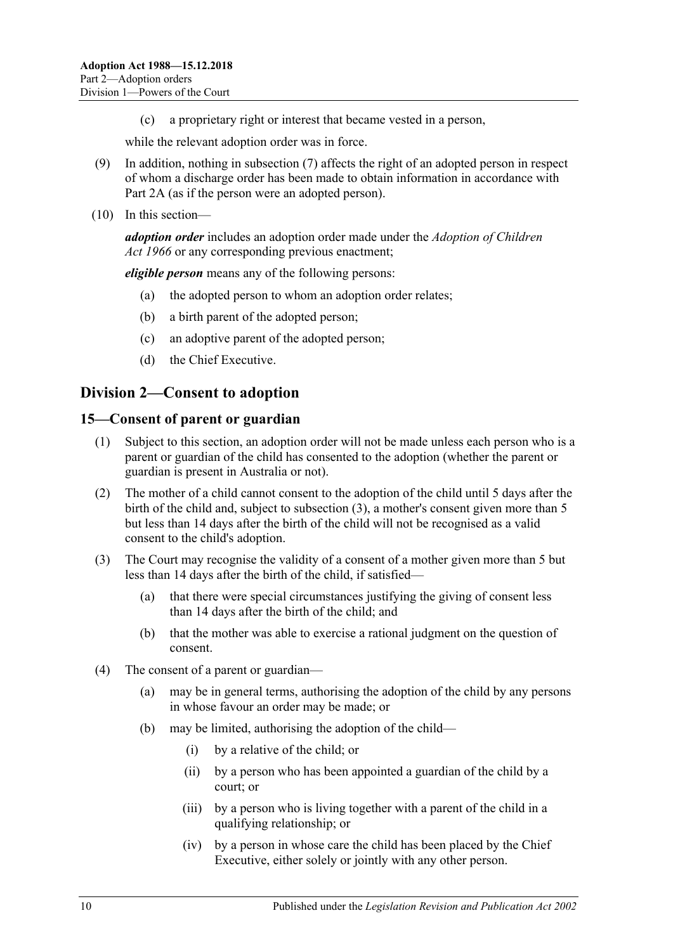(c) a proprietary right or interest that became vested in a person,

while the relevant adoption order was in force.

- (9) In addition, nothing in [subsection](#page-8-6) (7) affects the right of an adopted person in respect of whom a discharge order has been made to obtain information in accordance with [Part 2A](#page-15-2) (as if the person were an adopted person).
- (10) In this section—

*adoption order* includes an adoption order made under the *[Adoption of Children](http://www.legislation.sa.gov.au/index.aspx?action=legref&type=act&legtitle=Adoption%20of%20Children%20Act%201966)  Act [1966](http://www.legislation.sa.gov.au/index.aspx?action=legref&type=act&legtitle=Adoption%20of%20Children%20Act%201966)* or any corresponding previous enactment;

*eligible person* means any of the following persons:

- (a) the adopted person to whom an adoption order relates;
- (b) a birth parent of the adopted person;
- (c) an adoptive parent of the adopted person;
- (d) the Chief Executive.

# <span id="page-9-0"></span>**Division 2—Consent to adoption**

### <span id="page-9-1"></span>**15—Consent of parent or guardian**

- (1) Subject to this section, an adoption order will not be made unless each person who is a parent or guardian of the child has consented to the adoption (whether the parent or guardian is present in Australia or not).
- (2) The mother of a child cannot consent to the adoption of the child until 5 days after the birth of the child and, subject to [subsection](#page-9-2) (3), a mother's consent given more than 5 but less than 14 days after the birth of the child will not be recognised as a valid consent to the child's adoption.
- <span id="page-9-2"></span>(3) The Court may recognise the validity of a consent of a mother given more than 5 but less than 14 days after the birth of the child, if satisfied—
	- (a) that there were special circumstances justifying the giving of consent less than 14 days after the birth of the child; and
	- (b) that the mother was able to exercise a rational judgment on the question of consent.
- (4) The consent of a parent or guardian—
	- (a) may be in general terms, authorising the adoption of the child by any persons in whose favour an order may be made; or
	- (b) may be limited, authorising the adoption of the child—
		- (i) by a relative of the child; or
		- (ii) by a person who has been appointed a guardian of the child by a court; or
		- (iii) by a person who is living together with a parent of the child in a qualifying relationship; or
		- (iv) by a person in whose care the child has been placed by the Chief Executive, either solely or jointly with any other person.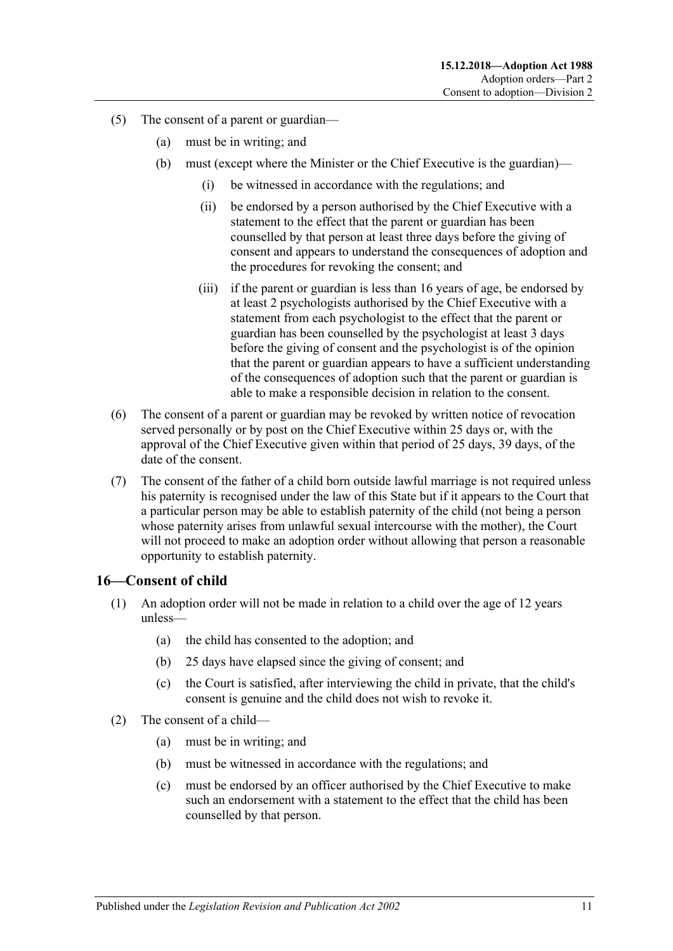- (5) The consent of a parent or guardian—
	- (a) must be in writing; and
	- (b) must (except where the Minister or the Chief Executive is the guardian)—
		- (i) be witnessed in accordance with the regulations; and
		- (ii) be endorsed by a person authorised by the Chief Executive with a statement to the effect that the parent or guardian has been counselled by that person at least three days before the giving of consent and appears to understand the consequences of adoption and the procedures for revoking the consent; and
		- (iii) if the parent or guardian is less than 16 years of age, be endorsed by at least 2 psychologists authorised by the Chief Executive with a statement from each psychologist to the effect that the parent or guardian has been counselled by the psychologist at least 3 days before the giving of consent and the psychologist is of the opinion that the parent or guardian appears to have a sufficient understanding of the consequences of adoption such that the parent or guardian is able to make a responsible decision in relation to the consent.
- (6) The consent of a parent or guardian may be revoked by written notice of revocation served personally or by post on the Chief Executive within 25 days or, with the approval of the Chief Executive given within that period of 25 days, 39 days, of the date of the consent.
- (7) The consent of the father of a child born outside lawful marriage is not required unless his paternity is recognised under the law of this State but if it appears to the Court that a particular person may be able to establish paternity of the child (not being a person whose paternity arises from unlawful sexual intercourse with the mother), the Court will not proceed to make an adoption order without allowing that person a reasonable opportunity to establish paternity.

### <span id="page-10-0"></span>**16—Consent of child**

- (1) An adoption order will not be made in relation to a child over the age of 12 years unless—
	- (a) the child has consented to the adoption; and
	- (b) 25 days have elapsed since the giving of consent; and
	- (c) the Court is satisfied, after interviewing the child in private, that the child's consent is genuine and the child does not wish to revoke it.
- (2) The consent of a child—
	- (a) must be in writing; and
	- (b) must be witnessed in accordance with the regulations; and
	- (c) must be endorsed by an officer authorised by the Chief Executive to make such an endorsement with a statement to the effect that the child has been counselled by that person.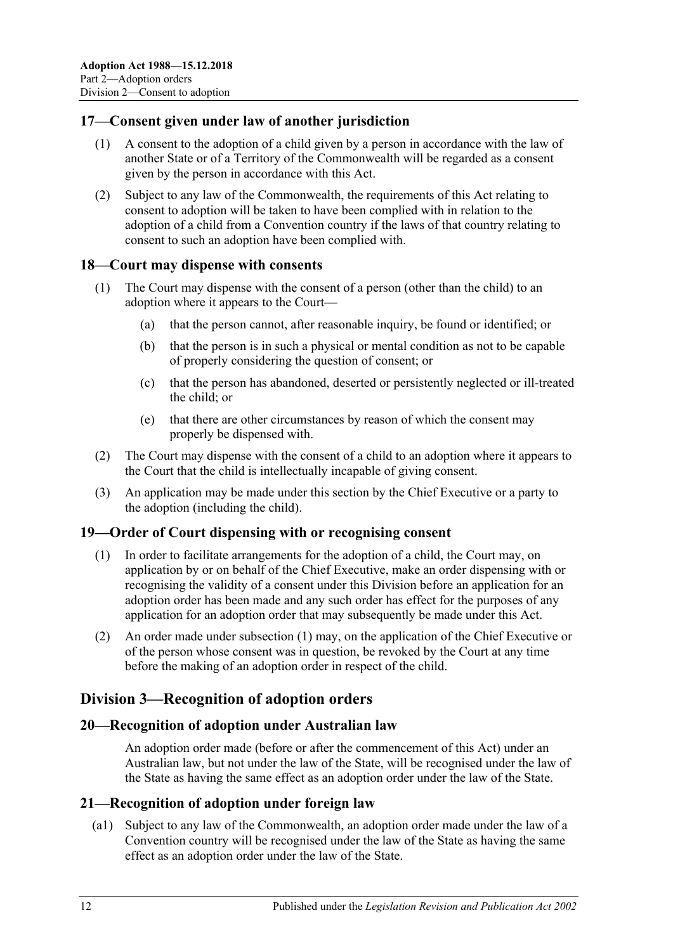## <span id="page-11-0"></span>**17—Consent given under law of another jurisdiction**

- (1) A consent to the adoption of a child given by a person in accordance with the law of another State or of a Territory of the Commonwealth will be regarded as a consent given by the person in accordance with this Act.
- (2) Subject to any law of the Commonwealth, the requirements of this Act relating to consent to adoption will be taken to have been complied with in relation to the adoption of a child from a Convention country if the laws of that country relating to consent to such an adoption have been complied with.

### <span id="page-11-1"></span>**18—Court may dispense with consents**

- (1) The Court may dispense with the consent of a person (other than the child) to an adoption where it appears to the Court—
	- (a) that the person cannot, after reasonable inquiry, be found or identified; or
	- (b) that the person is in such a physical or mental condition as not to be capable of properly considering the question of consent; or
	- (c) that the person has abandoned, deserted or persistently neglected or ill-treated the child; or
	- (e) that there are other circumstances by reason of which the consent may properly be dispensed with.
- (2) The Court may dispense with the consent of a child to an adoption where it appears to the Court that the child is intellectually incapable of giving consent.
- (3) An application may be made under this section by the Chief Executive or a party to the adoption (including the child).

### <span id="page-11-6"></span><span id="page-11-2"></span>**19—Order of Court dispensing with or recognising consent**

- (1) In order to facilitate arrangements for the adoption of a child, the Court may, on application by or on behalf of the Chief Executive, make an order dispensing with or recognising the validity of a consent under this Division before an application for an adoption order has been made and any such order has effect for the purposes of any application for an adoption order that may subsequently be made under this Act.
- (2) An order made under [subsection](#page-11-6) (1) may, on the application of the Chief Executive or of the person whose consent was in question, be revoked by the Court at any time before the making of an adoption order in respect of the child.

# <span id="page-11-3"></span>**Division 3—Recognition of adoption orders**

### <span id="page-11-4"></span>**20—Recognition of adoption under Australian law**

An adoption order made (before or after the commencement of this Act) under an Australian law, but not under the law of the State, will be recognised under the law of the State as having the same effect as an adoption order under the law of the State.

### <span id="page-11-5"></span>**21—Recognition of adoption under foreign law**

(a1) Subject to any law of the Commonwealth, an adoption order made under the law of a Convention country will be recognised under the law of the State as having the same effect as an adoption order under the law of the State.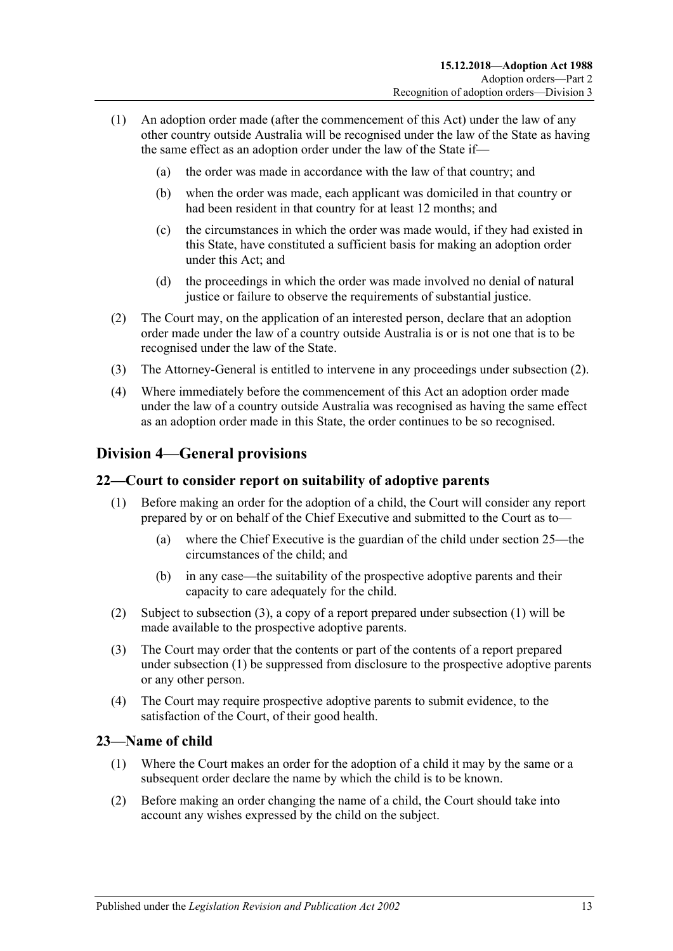- (1) An adoption order made (after the commencement of this Act) under the law of any other country outside Australia will be recognised under the law of the State as having the same effect as an adoption order under the law of the State if—
	- (a) the order was made in accordance with the law of that country; and
	- (b) when the order was made, each applicant was domiciled in that country or had been resident in that country for at least 12 months; and
	- (c) the circumstances in which the order was made would, if they had existed in this State, have constituted a sufficient basis for making an adoption order under this Act; and
	- (d) the proceedings in which the order was made involved no denial of natural justice or failure to observe the requirements of substantial justice.
- <span id="page-12-3"></span>(2) The Court may, on the application of an interested person, declare that an adoption order made under the law of a country outside Australia is or is not one that is to be recognised under the law of the State.
- (3) The Attorney-General is entitled to intervene in any proceedings under [subsection](#page-12-3) (2).
- (4) Where immediately before the commencement of this Act an adoption order made under the law of a country outside Australia was recognised as having the same effect as an adoption order made in this State, the order continues to be so recognised.

# <span id="page-12-0"></span>**Division 4—General provisions**

### <span id="page-12-5"></span><span id="page-12-1"></span>**22—Court to consider report on suitability of adoptive parents**

- (1) Before making an order for the adoption of a child, the Court will consider any report prepared by or on behalf of the Chief Executive and submitted to the Court as to—
	- (a) where the Chief Executive is the guardian of the child under [section](#page-14-0) 25—the circumstances of the child; and
	- (b) in any case—the suitability of the prospective adoptive parents and their capacity to care adequately for the child.
- (2) Subject to [subsection](#page-12-4) (3), a copy of a report prepared under [subsection](#page-12-5) (1) will be made available to the prospective adoptive parents.
- <span id="page-12-4"></span>(3) The Court may order that the contents or part of the contents of a report prepared under [subsection](#page-12-5) (1) be suppressed from disclosure to the prospective adoptive parents or any other person.
- (4) The Court may require prospective adoptive parents to submit evidence, to the satisfaction of the Court, of their good health.

### <span id="page-12-2"></span>**23—Name of child**

- (1) Where the Court makes an order for the adoption of a child it may by the same or a subsequent order declare the name by which the child is to be known.
- (2) Before making an order changing the name of a child, the Court should take into account any wishes expressed by the child on the subject.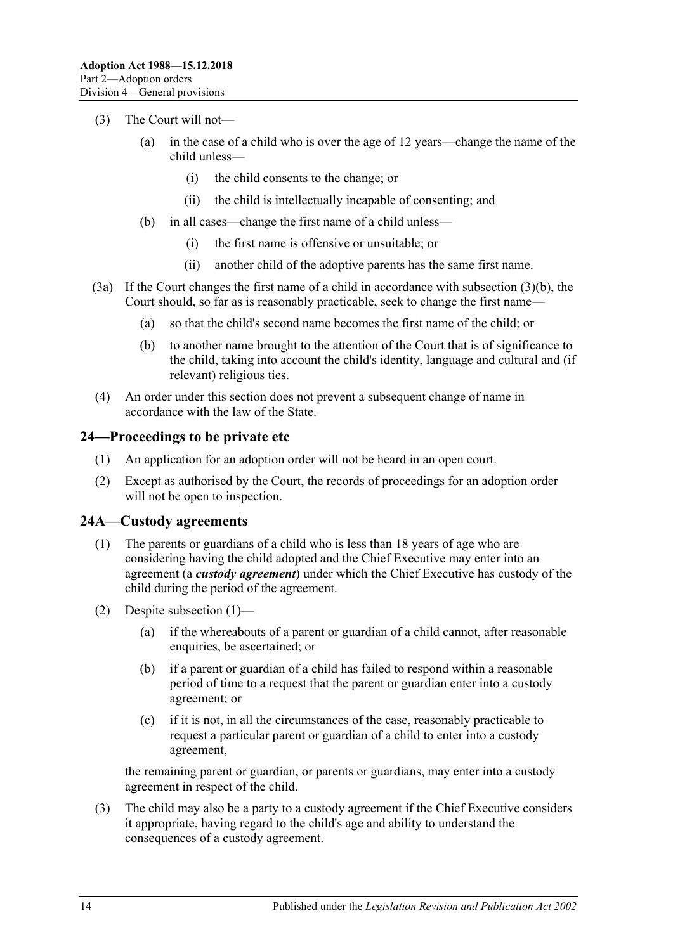- (3) The Court will not—
	- (a) in the case of a child who is over the age of 12 years—change the name of the child unless—
		- (i) the child consents to the change; or
		- (ii) the child is intellectually incapable of consenting; and
	- (b) in all cases—change the first name of a child unless—
		- (i) the first name is offensive or unsuitable; or
		- (ii) another child of the adoptive parents has the same first name.
- <span id="page-13-2"></span>(3a) If the Court changes the first name of a child in accordance with [subsection](#page-13-2) (3)(b), the Court should, so far as is reasonably practicable, seek to change the first name—
	- (a) so that the child's second name becomes the first name of the child; or
	- (b) to another name brought to the attention of the Court that is of significance to the child, taking into account the child's identity, language and cultural and (if relevant) religious ties.
- (4) An order under this section does not prevent a subsequent change of name in accordance with the law of the State.

### <span id="page-13-0"></span>**24—Proceedings to be private etc**

- (1) An application for an adoption order will not be heard in an open court.
- (2) Except as authorised by the Court, the records of proceedings for an adoption order will not be open to inspection.

### <span id="page-13-3"></span><span id="page-13-1"></span>**24A—Custody agreements**

- (1) The parents or guardians of a child who is less than 18 years of age who are considering having the child adopted and the Chief Executive may enter into an agreement (a *custody agreement*) under which the Chief Executive has custody of the child during the period of the agreement.
- (2) Despite [subsection](#page-13-3) (1)—
	- (a) if the whereabouts of a parent or guardian of a child cannot, after reasonable enquiries, be ascertained; or
	- (b) if a parent or guardian of a child has failed to respond within a reasonable period of time to a request that the parent or guardian enter into a custody agreement; or
	- (c) if it is not, in all the circumstances of the case, reasonably practicable to request a particular parent or guardian of a child to enter into a custody agreement,

the remaining parent or guardian, or parents or guardians, may enter into a custody agreement in respect of the child.

(3) The child may also be a party to a custody agreement if the Chief Executive considers it appropriate, having regard to the child's age and ability to understand the consequences of a custody agreement.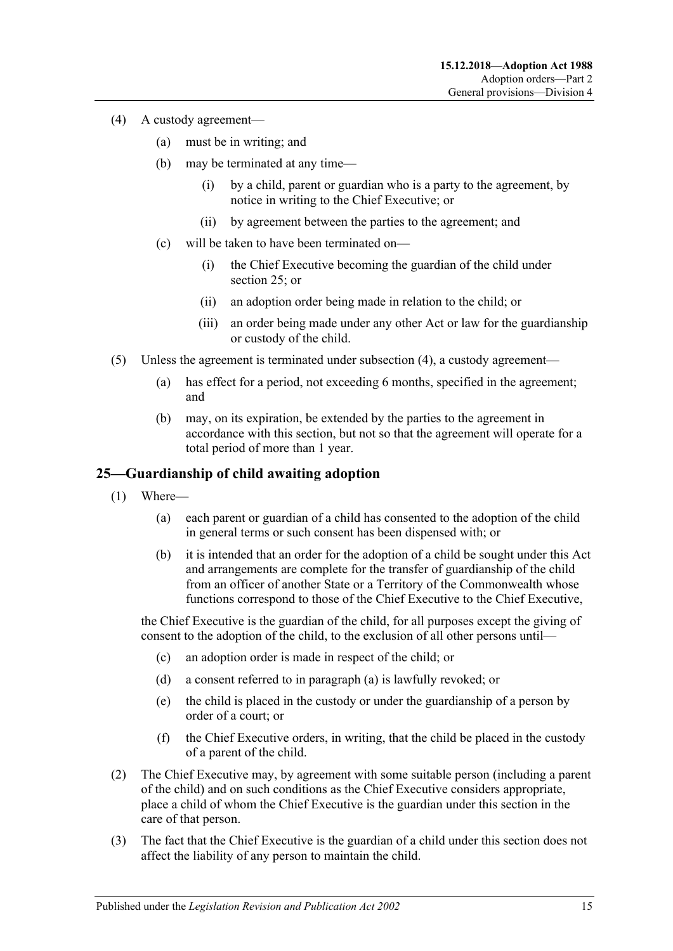- <span id="page-14-1"></span>(4) A custody agreement—
	- (a) must be in writing; and
	- (b) may be terminated at any time—
		- (i) by a child, parent or guardian who is a party to the agreement, by notice in writing to the Chief Executive; or
		- (ii) by agreement between the parties to the agreement; and
	- (c) will be taken to have been terminated on—
		- (i) the Chief Executive becoming the guardian of the child under [section](#page-14-0) 25; or
		- (ii) an adoption order being made in relation to the child; or
		- (iii) an order being made under any other Act or law for the guardianship or custody of the child.
- (5) Unless the agreement is terminated under [subsection](#page-14-1) (4), a custody agreement—
	- (a) has effect for a period, not exceeding 6 months, specified in the agreement; and
	- (b) may, on its expiration, be extended by the parties to the agreement in accordance with this section, but not so that the agreement will operate for a total period of more than 1 year.

## <span id="page-14-0"></span>**25—Guardianship of child awaiting adoption**

- <span id="page-14-2"></span>(1) Where—
	- (a) each parent or guardian of a child has consented to the adoption of the child in general terms or such consent has been dispensed with; or
	- (b) it is intended that an order for the adoption of a child be sought under this Act and arrangements are complete for the transfer of guardianship of the child from an officer of another State or a Territory of the Commonwealth whose functions correspond to those of the Chief Executive to the Chief Executive,

the Chief Executive is the guardian of the child, for all purposes except the giving of consent to the adoption of the child, to the exclusion of all other persons until—

- (c) an adoption order is made in respect of the child; or
- (d) a consent referred to in [paragraph](#page-14-2) (a) is lawfully revoked; or
- (e) the child is placed in the custody or under the guardianship of a person by order of a court; or
- (f) the Chief Executive orders, in writing, that the child be placed in the custody of a parent of the child.
- (2) The Chief Executive may, by agreement with some suitable person (including a parent of the child) and on such conditions as the Chief Executive considers appropriate, place a child of whom the Chief Executive is the guardian under this section in the care of that person.
- (3) The fact that the Chief Executive is the guardian of a child under this section does not affect the liability of any person to maintain the child.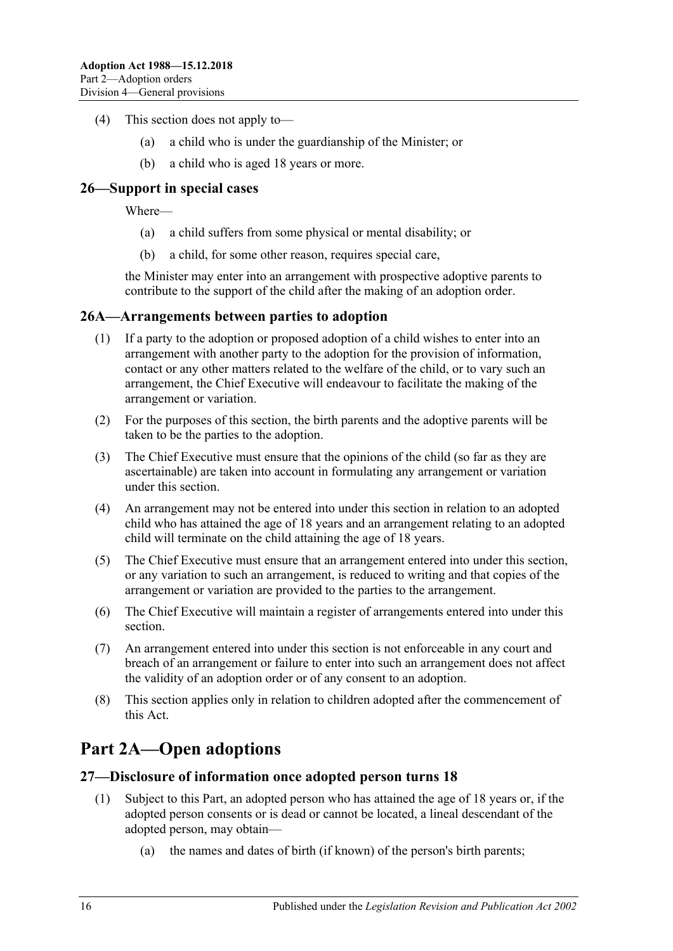- (4) This section does not apply to—
	- (a) a child who is under the guardianship of the Minister; or
	- (b) a child who is aged 18 years or more.

## <span id="page-15-0"></span>**26—Support in special cases**

Where—

- (a) a child suffers from some physical or mental disability; or
- (b) a child, for some other reason, requires special care,

the Minister may enter into an arrangement with prospective adoptive parents to contribute to the support of the child after the making of an adoption order.

### <span id="page-15-1"></span>**26A—Arrangements between parties to adoption**

- (1) If a party to the adoption or proposed adoption of a child wishes to enter into an arrangement with another party to the adoption for the provision of information, contact or any other matters related to the welfare of the child, or to vary such an arrangement, the Chief Executive will endeavour to facilitate the making of the arrangement or variation.
- (2) For the purposes of this section, the birth parents and the adoptive parents will be taken to be the parties to the adoption.
- (3) The Chief Executive must ensure that the opinions of the child (so far as they are ascertainable) are taken into account in formulating any arrangement or variation under this section.
- (4) An arrangement may not be entered into under this section in relation to an adopted child who has attained the age of 18 years and an arrangement relating to an adopted child will terminate on the child attaining the age of 18 years.
- (5) The Chief Executive must ensure that an arrangement entered into under this section, or any variation to such an arrangement, is reduced to writing and that copies of the arrangement or variation are provided to the parties to the arrangement.
- (6) The Chief Executive will maintain a register of arrangements entered into under this section.
- (7) An arrangement entered into under this section is not enforceable in any court and breach of an arrangement or failure to enter into such an arrangement does not affect the validity of an adoption order or of any consent to an adoption.
- (8) This section applies only in relation to children adopted after the commencement of this Act.

# <span id="page-15-2"></span>**Part 2A—Open adoptions**

### <span id="page-15-3"></span>**27—Disclosure of information once adopted person turns 18**

- (1) Subject to this Part, an adopted person who has attained the age of 18 years or, if the adopted person consents or is dead or cannot be located, a lineal descendant of the adopted person, may obtain—
	- (a) the names and dates of birth (if known) of the person's birth parents;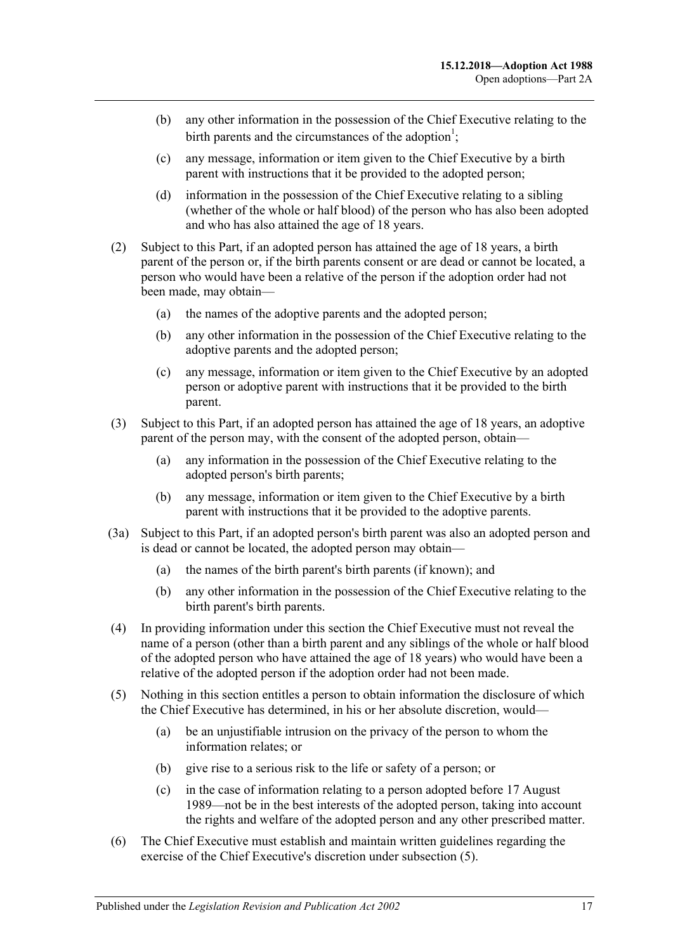- (b) any other information in the possession of the Chief Executive relating to the birth parents and the circumstances of the adoption<sup>1</sup>;
- (c) any message, information or item given to the Chief Executive by a birth parent with instructions that it be provided to the adopted person;
- (d) information in the possession of the Chief Executive relating to a sibling (whether of the whole or half blood) of the person who has also been adopted and who has also attained the age of 18 years.
- (2) Subject to this Part, if an adopted person has attained the age of 18 years, a birth parent of the person or, if the birth parents consent or are dead or cannot be located, a person who would have been a relative of the person if the adoption order had not been made, may obtain—
	- (a) the names of the adoptive parents and the adopted person;
	- (b) any other information in the possession of the Chief Executive relating to the adoptive parents and the adopted person;
	- (c) any message, information or item given to the Chief Executive by an adopted person or adoptive parent with instructions that it be provided to the birth parent.
- (3) Subject to this Part, if an adopted person has attained the age of 18 years, an adoptive parent of the person may, with the consent of the adopted person, obtain—
	- (a) any information in the possession of the Chief Executive relating to the adopted person's birth parents;
	- (b) any message, information or item given to the Chief Executive by a birth parent with instructions that it be provided to the adoptive parents.
- (3a) Subject to this Part, if an adopted person's birth parent was also an adopted person and is dead or cannot be located, the adopted person may obtain—
	- (a) the names of the birth parent's birth parents (if known); and
	- (b) any other information in the possession of the Chief Executive relating to the birth parent's birth parents.
- (4) In providing information under this section the Chief Executive must not reveal the name of a person (other than a birth parent and any siblings of the whole or half blood of the adopted person who have attained the age of 18 years) who would have been a relative of the adopted person if the adoption order had not been made.
- <span id="page-16-0"></span>(5) Nothing in this section entitles a person to obtain information the disclosure of which the Chief Executive has determined, in his or her absolute discretion, would—
	- (a) be an unjustifiable intrusion on the privacy of the person to whom the information relates; or
	- (b) give rise to a serious risk to the life or safety of a person; or
	- (c) in the case of information relating to a person adopted before 17 August 1989—not be in the best interests of the adopted person, taking into account the rights and welfare of the adopted person and any other prescribed matter.
- (6) The Chief Executive must establish and maintain written guidelines regarding the exercise of the Chief Executive's discretion under [subsection](#page-16-0) (5).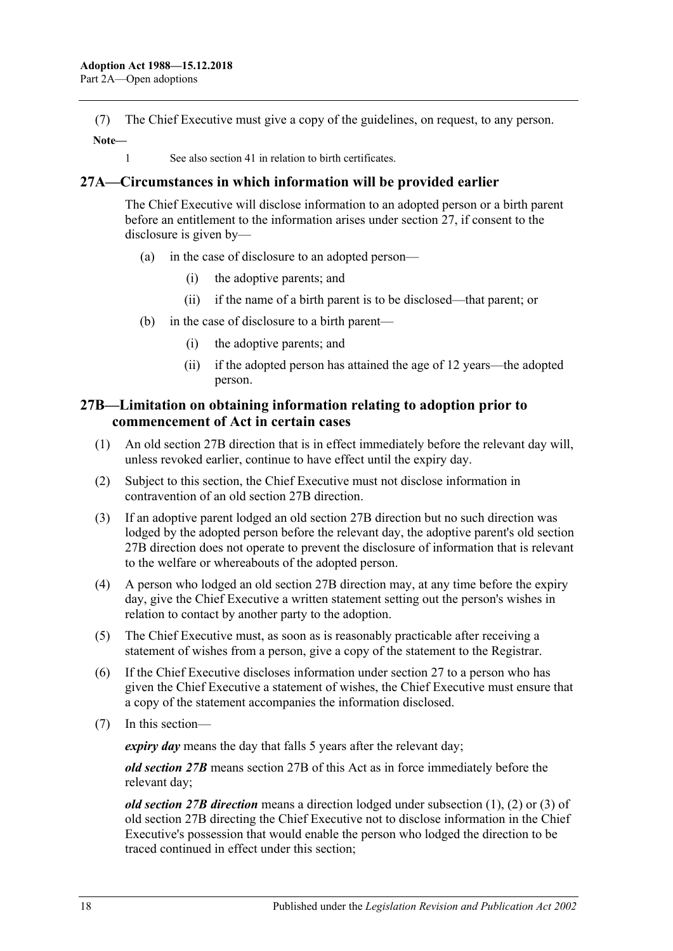(7) The Chief Executive must give a copy of the guidelines, on request, to any person. **Note—**

1 See also section 41 in relation to birth certificates.

### <span id="page-17-0"></span>**27A—Circumstances in which information will be provided earlier**

The Chief Executive will disclose information to an adopted person or a birth parent before an entitlement to the information arises under [section](#page-15-3) 27, if consent to the disclosure is given by—

- (a) in the case of disclosure to an adopted person—
	- (i) the adoptive parents; and
	- (ii) if the name of a birth parent is to be disclosed—that parent; or
- (b) in the case of disclosure to a birth parent—
	- (i) the adoptive parents; and
	- (ii) if the adopted person has attained the age of 12 years—the adopted person.

## <span id="page-17-1"></span>**27B—Limitation on obtaining information relating to adoption prior to commencement of Act in certain cases**

- (1) An old section 27B direction that is in effect immediately before the relevant day will, unless revoked earlier, continue to have effect until the expiry day.
- (2) Subject to this section, the Chief Executive must not disclose information in contravention of an old section 27B direction.
- (3) If an adoptive parent lodged an old section 27B direction but no such direction was lodged by the adopted person before the relevant day, the adoptive parent's old section 27B direction does not operate to prevent the disclosure of information that is relevant to the welfare or whereabouts of the adopted person.
- (4) A person who lodged an old section 27B direction may, at any time before the expiry day, give the Chief Executive a written statement setting out the person's wishes in relation to contact by another party to the adoption.
- (5) The Chief Executive must, as soon as is reasonably practicable after receiving a statement of wishes from a person, give a copy of the statement to the Registrar.
- (6) If the Chief Executive discloses information under [section](#page-15-3) 27 to a person who has given the Chief Executive a statement of wishes, the Chief Executive must ensure that a copy of the statement accompanies the information disclosed.
- (7) In this section—

*expiry day* means the day that falls 5 years after the relevant day;

*old section 27B* means section 27B of this Act as in force immediately before the relevant day;

*old section 27B direction* means a direction lodged under subsection (1), (2) or (3) of old section 27B directing the Chief Executive not to disclose information in the Chief Executive's possession that would enable the person who lodged the direction to be traced continued in effect under this section;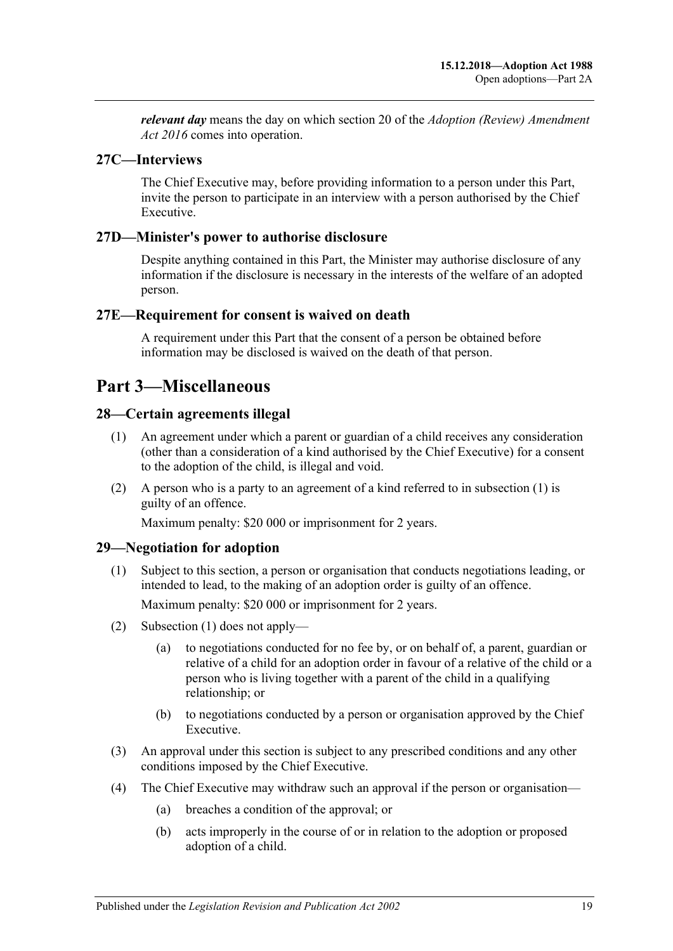*relevant day* means the day on which section 20 of the *[Adoption \(Review\) Amendment](http://www.legislation.sa.gov.au/index.aspx?action=legref&type=act&legtitle=Adoption%20(Review)%20Amendment%20Act%202016)  Act [2016](http://www.legislation.sa.gov.au/index.aspx?action=legref&type=act&legtitle=Adoption%20(Review)%20Amendment%20Act%202016)* comes into operation.

## <span id="page-18-0"></span>**27C—Interviews**

The Chief Executive may, before providing information to a person under this Part, invite the person to participate in an interview with a person authorised by the Chief Executive.

### <span id="page-18-1"></span>**27D—Minister's power to authorise disclosure**

Despite anything contained in this Part, the Minister may authorise disclosure of any information if the disclosure is necessary in the interests of the welfare of an adopted person.

### <span id="page-18-2"></span>**27E—Requirement for consent is waived on death**

A requirement under this Part that the consent of a person be obtained before information may be disclosed is waived on the death of that person.

# <span id="page-18-3"></span>**Part 3—Miscellaneous**

## <span id="page-18-6"></span><span id="page-18-4"></span>**28—Certain agreements illegal**

- (1) An agreement under which a parent or guardian of a child receives any consideration (other than a consideration of a kind authorised by the Chief Executive) for a consent to the adoption of the child, is illegal and void.
- (2) A person who is a party to an agreement of a kind referred to in [subsection](#page-18-6) (1) is guilty of an offence.

Maximum penalty: \$20 000 or imprisonment for 2 years.

### <span id="page-18-7"></span><span id="page-18-5"></span>**29—Negotiation for adoption**

(1) Subject to this section, a person or organisation that conducts negotiations leading, or intended to lead, to the making of an adoption order is guilty of an offence.

Maximum penalty: \$20 000 or imprisonment for 2 years.

- (2) [Subsection](#page-18-7) (1) does not apply—
	- (a) to negotiations conducted for no fee by, or on behalf of, a parent, guardian or relative of a child for an adoption order in favour of a relative of the child or a person who is living together with a parent of the child in a qualifying relationship; or
	- (b) to negotiations conducted by a person or organisation approved by the Chief Executive.
- (3) An approval under this section is subject to any prescribed conditions and any other conditions imposed by the Chief Executive.
- <span id="page-18-8"></span>(4) The Chief Executive may withdraw such an approval if the person or organisation—
	- (a) breaches a condition of the approval; or
	- (b) acts improperly in the course of or in relation to the adoption or proposed adoption of a child.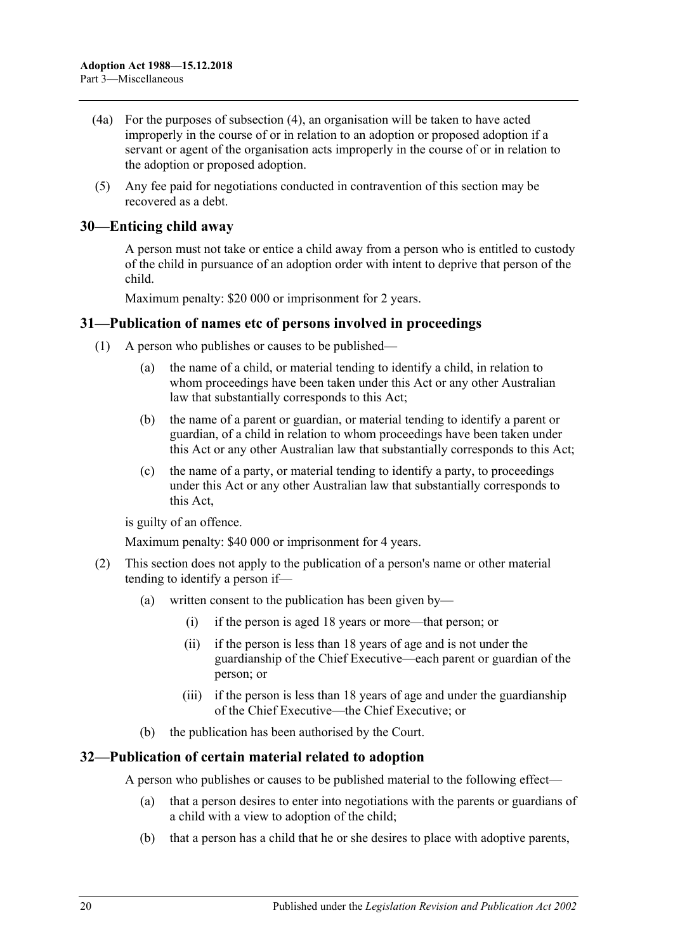- (4a) For the purposes of [subsection](#page-18-8) (4), an organisation will be taken to have acted improperly in the course of or in relation to an adoption or proposed adoption if a servant or agent of the organisation acts improperly in the course of or in relation to the adoption or proposed adoption.
- (5) Any fee paid for negotiations conducted in contravention of this section may be recovered as a debt.

## <span id="page-19-0"></span>**30—Enticing child away**

A person must not take or entice a child away from a person who is entitled to custody of the child in pursuance of an adoption order with intent to deprive that person of the child.

Maximum penalty: \$20 000 or imprisonment for 2 years.

### <span id="page-19-1"></span>**31—Publication of names etc of persons involved in proceedings**

- (1) A person who publishes or causes to be published—
	- (a) the name of a child, or material tending to identify a child, in relation to whom proceedings have been taken under this Act or any other Australian law that substantially corresponds to this Act;
	- (b) the name of a parent or guardian, or material tending to identify a parent or guardian, of a child in relation to whom proceedings have been taken under this Act or any other Australian law that substantially corresponds to this Act;
	- (c) the name of a party, or material tending to identify a party, to proceedings under this Act or any other Australian law that substantially corresponds to this Act,

is guilty of an offence.

Maximum penalty: \$40 000 or imprisonment for 4 years.

- (2) This section does not apply to the publication of a person's name or other material tending to identify a person if—
	- (a) written consent to the publication has been given by—
		- (i) if the person is aged 18 years or more—that person; or
		- (ii) if the person is less than 18 years of age and is not under the guardianship of the Chief Executive—each parent or guardian of the person; or
		- (iii) if the person is less than 18 years of age and under the guardianship of the Chief Executive—the Chief Executive; or
	- (b) the publication has been authorised by the Court.

### <span id="page-19-2"></span>**32—Publication of certain material related to adoption**

A person who publishes or causes to be published material to the following effect—

- (a) that a person desires to enter into negotiations with the parents or guardians of a child with a view to adoption of the child;
- (b) that a person has a child that he or she desires to place with adoptive parents,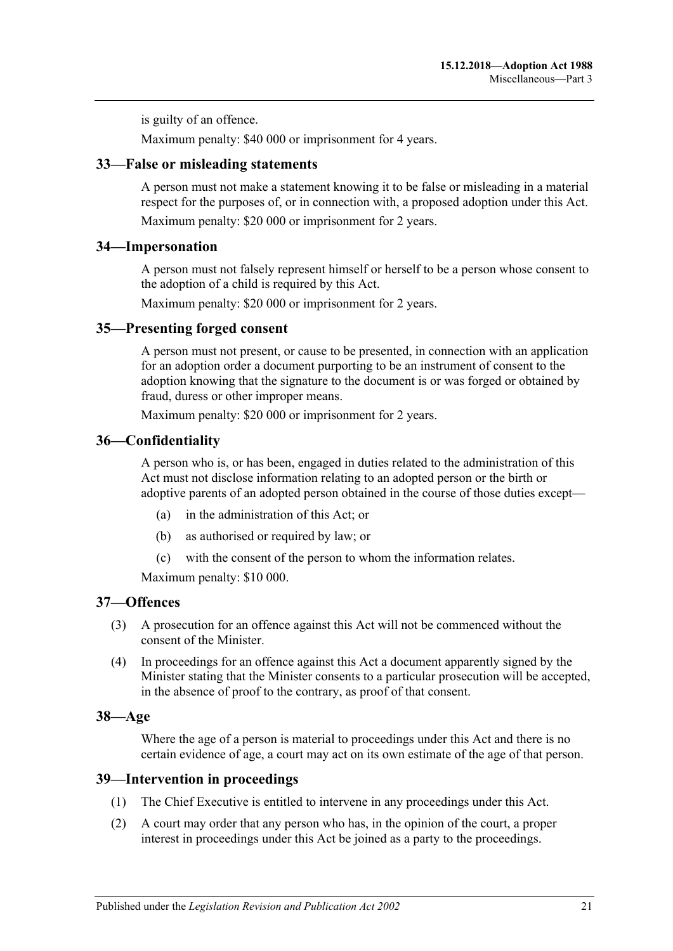is guilty of an offence.

Maximum penalty: \$40 000 or imprisonment for 4 years.

### <span id="page-20-0"></span>**33—False or misleading statements**

A person must not make a statement knowing it to be false or misleading in a material respect for the purposes of, or in connection with, a proposed adoption under this Act. Maximum penalty: \$20 000 or imprisonment for 2 years.

### <span id="page-20-1"></span>**34—Impersonation**

A person must not falsely represent himself or herself to be a person whose consent to the adoption of a child is required by this Act.

Maximum penalty: \$20 000 or imprisonment for 2 years.

### <span id="page-20-2"></span>**35—Presenting forged consent**

A person must not present, or cause to be presented, in connection with an application for an adoption order a document purporting to be an instrument of consent to the adoption knowing that the signature to the document is or was forged or obtained by fraud, duress or other improper means.

Maximum penalty: \$20 000 or imprisonment for 2 years.

### <span id="page-20-3"></span>**36—Confidentiality**

A person who is, or has been, engaged in duties related to the administration of this Act must not disclose information relating to an adopted person or the birth or adoptive parents of an adopted person obtained in the course of those duties except—

- (a) in the administration of this Act; or
- (b) as authorised or required by law; or
- (c) with the consent of the person to whom the information relates.

Maximum penalty: \$10 000.

### <span id="page-20-4"></span>**37—Offences**

- (3) A prosecution for an offence against this Act will not be commenced without the consent of the Minister.
- (4) In proceedings for an offence against this Act a document apparently signed by the Minister stating that the Minister consents to a particular prosecution will be accepted, in the absence of proof to the contrary, as proof of that consent.

### <span id="page-20-5"></span>**38—Age**

Where the age of a person is material to proceedings under this Act and there is no certain evidence of age, a court may act on its own estimate of the age of that person.

### <span id="page-20-6"></span>**39—Intervention in proceedings**

- (1) The Chief Executive is entitled to intervene in any proceedings under this Act.
- (2) A court may order that any person who has, in the opinion of the court, a proper interest in proceedings under this Act be joined as a party to the proceedings.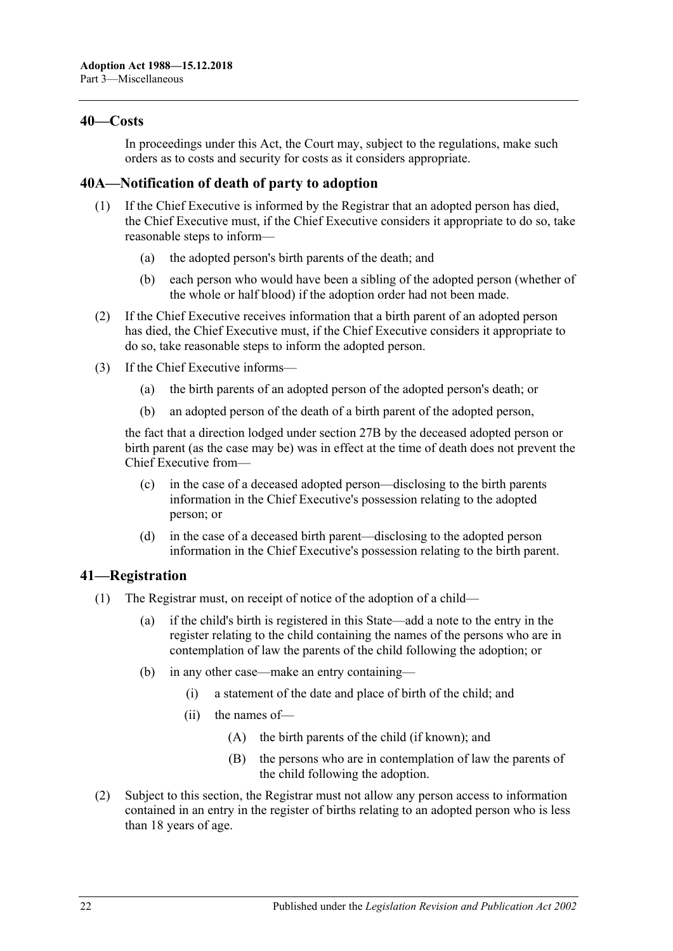### <span id="page-21-0"></span>**40—Costs**

In proceedings under this Act, the Court may, subject to the regulations, make such orders as to costs and security for costs as it considers appropriate.

## <span id="page-21-1"></span>**40A—Notification of death of party to adoption**

- (1) If the Chief Executive is informed by the Registrar that an adopted person has died, the Chief Executive must, if the Chief Executive considers it appropriate to do so, take reasonable steps to inform—
	- (a) the adopted person's birth parents of the death; and
	- (b) each person who would have been a sibling of the adopted person (whether of the whole or half blood) if the adoption order had not been made.
- (2) If the Chief Executive receives information that a birth parent of an adopted person has died, the Chief Executive must, if the Chief Executive considers it appropriate to do so, take reasonable steps to inform the adopted person.
- (3) If the Chief Executive informs—
	- (a) the birth parents of an adopted person of the adopted person's death; or
	- (b) an adopted person of the death of a birth parent of the adopted person,

the fact that a direction lodged under [section](#page-17-1) 27B by the deceased adopted person or birth parent (as the case may be) was in effect at the time of death does not prevent the Chief Executive from—

- (c) in the case of a deceased adopted person—disclosing to the birth parents information in the Chief Executive's possession relating to the adopted person; or
- (d) in the case of a deceased birth parent—disclosing to the adopted person information in the Chief Executive's possession relating to the birth parent.

### <span id="page-21-2"></span>**41—Registration**

- (1) The Registrar must, on receipt of notice of the adoption of a child—
	- (a) if the child's birth is registered in this State—add a note to the entry in the register relating to the child containing the names of the persons who are in contemplation of law the parents of the child following the adoption; or
	- (b) in any other case—make an entry containing—
		- (i) a statement of the date and place of birth of the child; and
		- (ii) the names of—
			- (A) the birth parents of the child (if known); and
			- (B) the persons who are in contemplation of law the parents of the child following the adoption.
- (2) Subject to this section, the Registrar must not allow any person access to information contained in an entry in the register of births relating to an adopted person who is less than 18 years of age.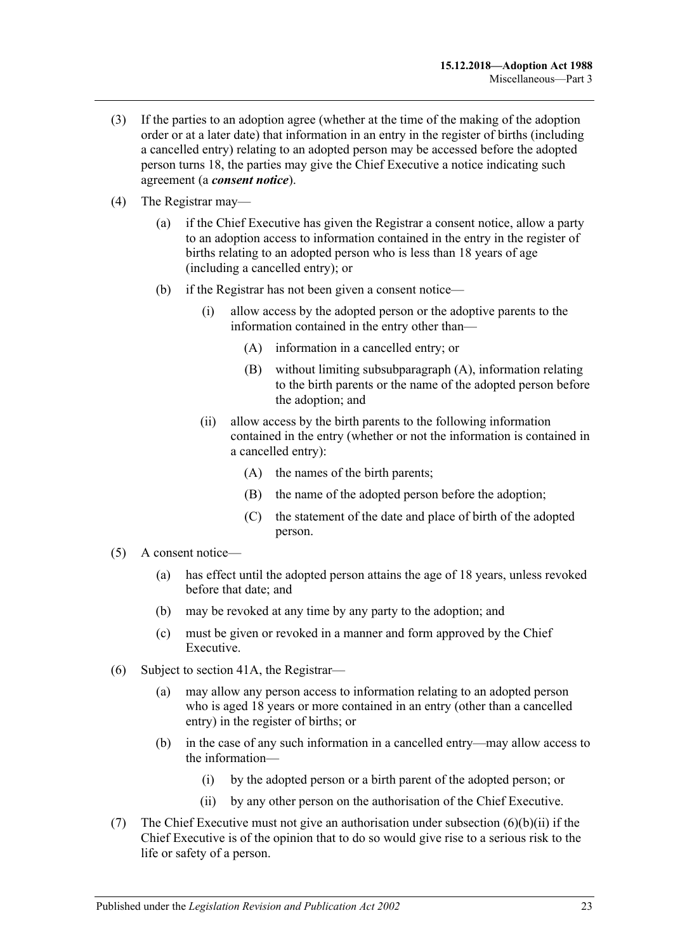- (3) If the parties to an adoption agree (whether at the time of the making of the adoption order or at a later date) that information in an entry in the register of births (including a cancelled entry) relating to an adopted person may be accessed before the adopted person turns 18, the parties may give the Chief Executive a notice indicating such agreement (a *consent notice*).
- <span id="page-22-0"></span>(4) The Registrar may—
	- (a) if the Chief Executive has given the Registrar a consent notice, allow a party to an adoption access to information contained in the entry in the register of births relating to an adopted person who is less than 18 years of age (including a cancelled entry); or
	- (b) if the Registrar has not been given a consent notice—
		- (i) allow access by the adopted person or the adoptive parents to the information contained in the entry other than—
			- (A) information in a cancelled entry; or
			- (B) without limiting [subsubparagraph](#page-22-0) (A), information relating to the birth parents or the name of the adopted person before the adoption; and
		- (ii) allow access by the birth parents to the following information contained in the entry (whether or not the information is contained in a cancelled entry):
			- (A) the names of the birth parents;
			- (B) the name of the adopted person before the adoption;
			- (C) the statement of the date and place of birth of the adopted person.
- (5) A consent notice—
	- (a) has effect until the adopted person attains the age of 18 years, unless revoked before that date; and
	- (b) may be revoked at any time by any party to the adoption; and
	- (c) must be given or revoked in a manner and form approved by the Chief Executive.
- (6) Subject to [section](#page-23-0) 41A, the Registrar—
	- (a) may allow any person access to information relating to an adopted person who is aged 18 years or more contained in an entry (other than a cancelled entry) in the register of births; or
	- (b) in the case of any such information in a cancelled entry—may allow access to the information—
		- (i) by the adopted person or a birth parent of the adopted person; or
		- (ii) by any other person on the authorisation of the Chief Executive.
- <span id="page-22-1"></span>(7) The Chief Executive must not give an authorisation under [subsection](#page-22-1)  $(6)(b)(ii)$  if the Chief Executive is of the opinion that to do so would give rise to a serious risk to the life or safety of a person.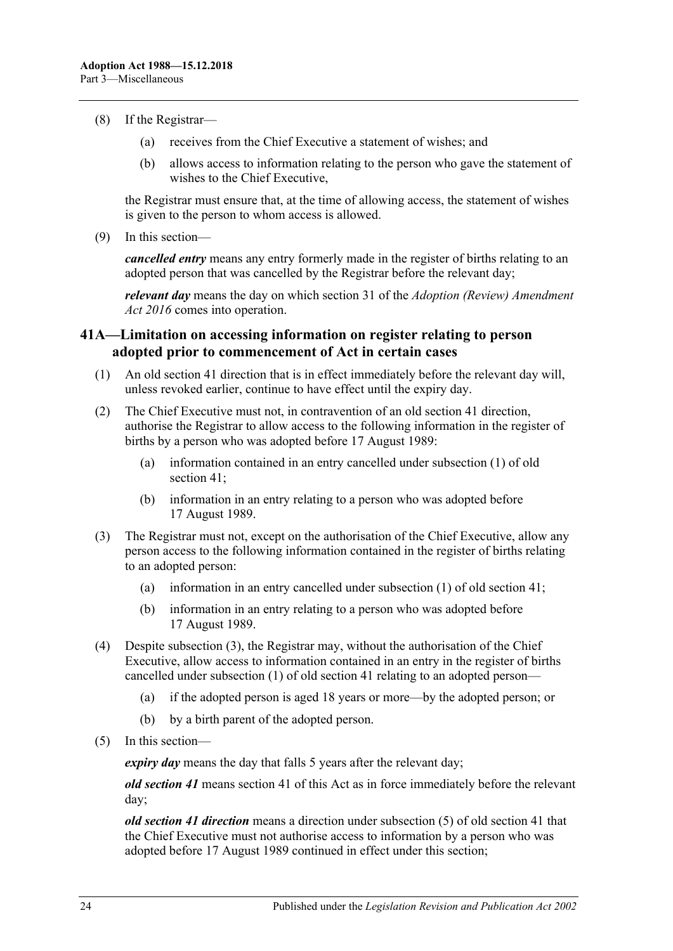- (8) If the Registrar—
	- (a) receives from the Chief Executive a statement of wishes; and
	- (b) allows access to information relating to the person who gave the statement of wishes to the Chief Executive,

the Registrar must ensure that, at the time of allowing access, the statement of wishes is given to the person to whom access is allowed.

(9) In this section—

*cancelled entry* means any entry formerly made in the register of births relating to an adopted person that was cancelled by the Registrar before the relevant day;

*relevant day* means the day on which section 31 of the *[Adoption \(Review\) Amendment](http://www.legislation.sa.gov.au/index.aspx?action=legref&type=act&legtitle=Adoption%20(Review)%20Amendment%20Act%202016)  Act [2016](http://www.legislation.sa.gov.au/index.aspx?action=legref&type=act&legtitle=Adoption%20(Review)%20Amendment%20Act%202016)* comes into operation.

### <span id="page-23-0"></span>**41A—Limitation on accessing information on register relating to person adopted prior to commencement of Act in certain cases**

- (1) An old section 41 direction that is in effect immediately before the relevant day will, unless revoked earlier, continue to have effect until the expiry day.
- (2) The Chief Executive must not, in contravention of an old section 41 direction, authorise the Registrar to allow access to the following information in the register of births by a person who was adopted before 17 August 1989:
	- (a) information contained in an entry cancelled under subsection (1) of old section 41;
	- (b) information in an entry relating to a person who was adopted before 17 August 1989.
- <span id="page-23-1"></span>(3) The Registrar must not, except on the authorisation of the Chief Executive, allow any person access to the following information contained in the register of births relating to an adopted person:
	- (a) information in an entry cancelled under subsection (1) of old section 41;
	- (b) information in an entry relating to a person who was adopted before 17 August 1989.
- (4) Despite [subsection](#page-23-1) (3), the Registrar may, without the authorisation of the Chief Executive, allow access to information contained in an entry in the register of births cancelled under subsection (1) of old section 41 relating to an adopted person—
	- (a) if the adopted person is aged 18 years or more—by the adopted person; or
	- (b) by a birth parent of the adopted person.
- (5) In this section—

*expiry day* means the day that falls 5 years after the relevant day;

*old section 41* means section 41 of this Act as in force immediately before the relevant day;

*old section 41 direction* means a direction under subsection (5) of old section 41 that the Chief Executive must not authorise access to information by a person who was adopted before 17 August 1989 continued in effect under this section;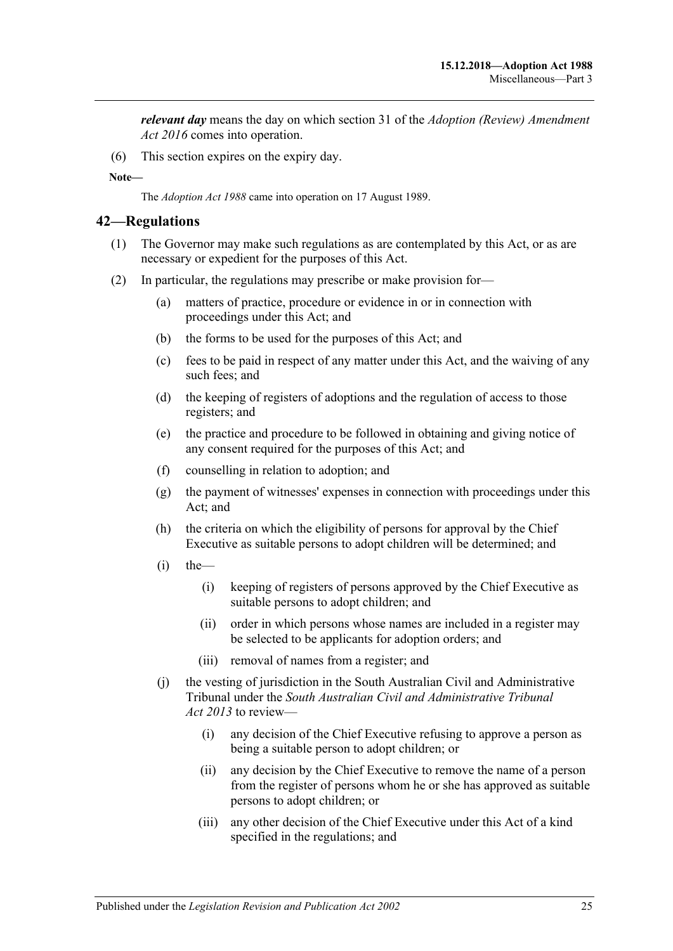*relevant day* means the day on which section 31 of the *[Adoption \(Review\) Amendment](http://www.legislation.sa.gov.au/index.aspx?action=legref&type=act&legtitle=Adoption%20(Review)%20Amendment%20Act%202016)  Act [2016](http://www.legislation.sa.gov.au/index.aspx?action=legref&type=act&legtitle=Adoption%20(Review)%20Amendment%20Act%202016)* comes into operation.

(6) This section expires on the expiry day.

**Note—**

The *[Adoption Act](http://www.legislation.sa.gov.au/index.aspx?action=legref&type=act&legtitle=Adoption%20Act%201988) 1988* came into operation on 17 August 1989.

#### <span id="page-24-0"></span>**42—Regulations**

- (1) The Governor may make such regulations as are contemplated by this Act, or as are necessary or expedient for the purposes of this Act.
- (2) In particular, the regulations may prescribe or make provision for—
	- (a) matters of practice, procedure or evidence in or in connection with proceedings under this Act; and
	- (b) the forms to be used for the purposes of this Act; and
	- (c) fees to be paid in respect of any matter under this Act, and the waiving of any such fees; and
	- (d) the keeping of registers of adoptions and the regulation of access to those registers; and
	- (e) the practice and procedure to be followed in obtaining and giving notice of any consent required for the purposes of this Act; and
	- (f) counselling in relation to adoption; and
	- (g) the payment of witnesses' expenses in connection with proceedings under this Act; and
	- (h) the criteria on which the eligibility of persons for approval by the Chief Executive as suitable persons to adopt children will be determined; and
	- $(i)$  the—
		- (i) keeping of registers of persons approved by the Chief Executive as suitable persons to adopt children; and
		- (ii) order in which persons whose names are included in a register may be selected to be applicants for adoption orders; and
		- (iii) removal of names from a register; and
	- (j) the vesting of jurisdiction in the South Australian Civil and Administrative Tribunal under the *[South Australian Civil and Administrative Tribunal](http://www.legislation.sa.gov.au/index.aspx?action=legref&type=act&legtitle=South%20Australian%20Civil%20and%20Administrative%20Tribunal%20Act%202013)  Act [2013](http://www.legislation.sa.gov.au/index.aspx?action=legref&type=act&legtitle=South%20Australian%20Civil%20and%20Administrative%20Tribunal%20Act%202013)* to review—
		- (i) any decision of the Chief Executive refusing to approve a person as being a suitable person to adopt children; or
		- (ii) any decision by the Chief Executive to remove the name of a person from the register of persons whom he or she has approved as suitable persons to adopt children; or
		- (iii) any other decision of the Chief Executive under this Act of a kind specified in the regulations; and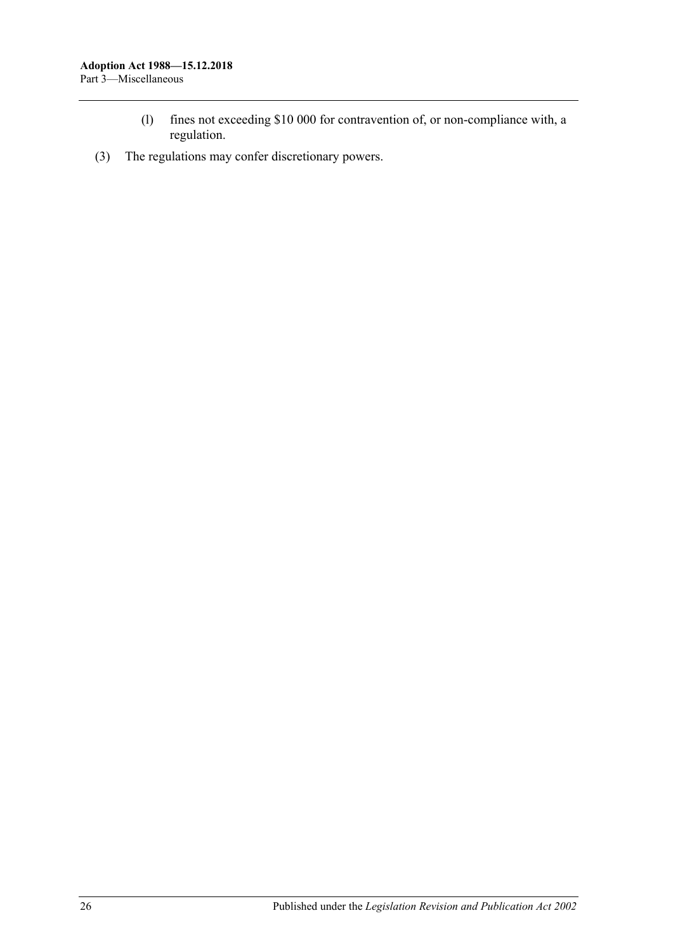- (l) fines not exceeding \$10 000 for contravention of, or non-compliance with, a regulation.
- (3) The regulations may confer discretionary powers.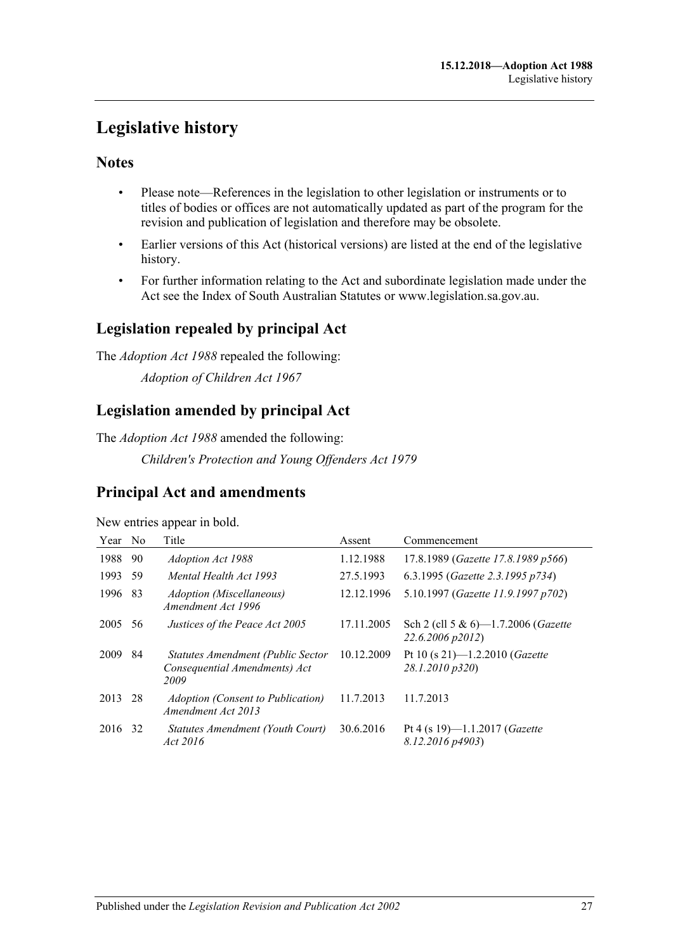# <span id="page-26-0"></span>**Legislative history**

# **Notes**

- Please note—References in the legislation to other legislation or instruments or to titles of bodies or offices are not automatically updated as part of the program for the revision and publication of legislation and therefore may be obsolete.
- Earlier versions of this Act (historical versions) are listed at the end of the legislative history.
- For further information relating to the Act and subordinate legislation made under the Act see the Index of South Australian Statutes or www.legislation.sa.gov.au.

# **Legislation repealed by principal Act**

The *Adoption Act 1988* repealed the following: *Adoption of Children Act 1967*

# **Legislation amended by principal Act**

The *Adoption Act 1988* amended the following:

*Children's Protection and Young Offenders Act 1979*

# **Principal Act and amendments**

New entries appear in bold.

| Year | N <sub>o</sub> | Title                                                                      | Assent     | Commencement                                                    |
|------|----------------|----------------------------------------------------------------------------|------------|-----------------------------------------------------------------|
| 1988 | 90             | Adoption Act 1988                                                          | 1.12.1988  | 17.8.1989 (Gazette 17.8.1989 p566)                              |
| 1993 | 59             | Mental Health Act 1993                                                     | 27.5.1993  | 6.3.1995 (Gazette 2.3.1995 p734)                                |
| 1996 | 83             | <i>Adoption (Miscellaneous)</i><br>Amendment Act 1996                      | 12.12.1996 | 5.10.1997 (Gazette 11.9.1997 p702)                              |
| 2005 | 56             | Justices of the Peace Act 2005                                             | 17.11.2005 | Sch 2 (cll 5 & 6)—1.7.2006 ( <i>Gazette</i><br>22.6.2006 p2012) |
| 2009 | 84             | Statutes Amendment (Public Sector<br>Consequential Amendments) Act<br>2009 | 10.12.2009 | Pt 10 (s 21)-1.2.2010 ( <i>Gazette</i><br>28.1.2010 p320)       |
| 2013 | 28             | <b>Adoption (Consent to Publication)</b><br>Amendment Act 2013             | 11.7.2013  | 11.7.2013                                                       |
| 2016 | 32             | Statutes Amendment (Youth Court)<br>Act 2016                               | 30.6.2016  | Pt 4 (s 19)-1.1.2017 ( <i>Gazette</i><br>8.12.2016 p4903)       |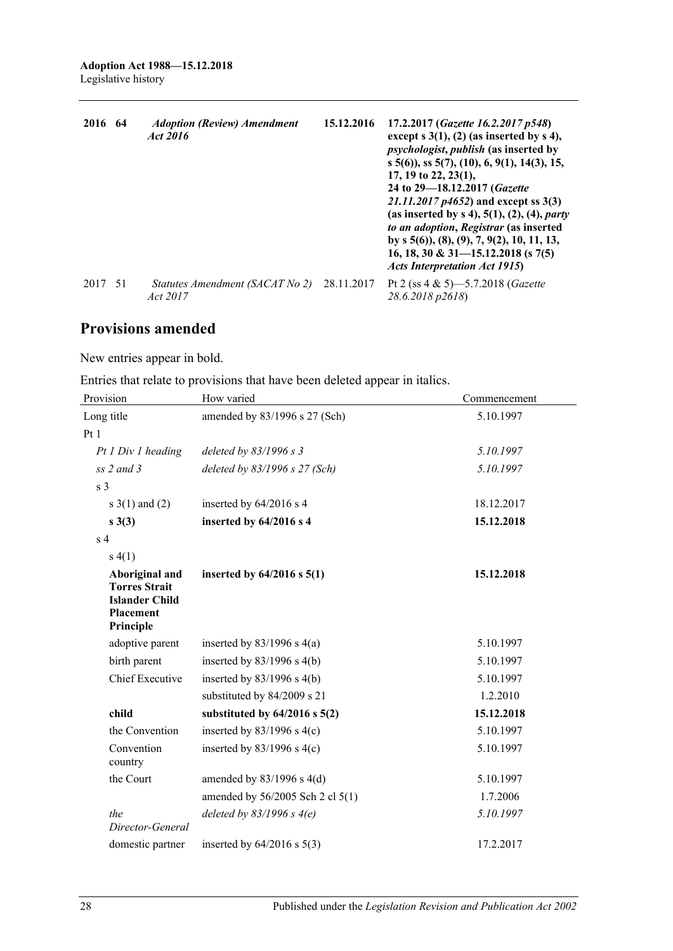| 2016 | -64 | <b>Adoption (Review) Amendment</b><br>Act 2016 | 15.12.2016 | 17.2.2017 (Gazette 16.2.2017 p548)<br>except $s(1)$ , $(2)$ (as inserted by $s(4)$ ,<br><i>psychologist, publish (as inserted by</i><br>$s$ 5(6)), ss 5(7), (10), 6, 9(1), 14(3), 15,<br>17, 19 to 22, 23(1),<br>24 to 29–18.12.2017 (Gazette<br>21.11.2017 $p4652$ ) and except ss 3(3)<br>(as inserted by $s$ 4), 5(1), (2), (4), <i>party</i><br>to an adoption, Registrar (as inserted<br>by s $5(6)$ , $(8)$ , $(9)$ , $7$ , $9(2)$ , $10$ , $11$ , $13$ ,<br>16, 18, 30 & 31-15.12.2018 (s 7(5)<br><b>Acts Interpretation Act 1915</b> ) |
|------|-----|------------------------------------------------|------------|------------------------------------------------------------------------------------------------------------------------------------------------------------------------------------------------------------------------------------------------------------------------------------------------------------------------------------------------------------------------------------------------------------------------------------------------------------------------------------------------------------------------------------------------|
| 2017 | -51 | Statutes Amendment (SACAT No 2)<br>Act 2017    | 28.11.2017 | Pt 2 (ss $4 \& 5$ )-5.7.2018 ( <i>Gazette</i> )<br>28.6.2018 p2618)                                                                                                                                                                                                                                                                                                                                                                                                                                                                            |

# **Provisions amended**

New entries appear in bold.

Entries that relate to provisions that have been deleted appear in italics.

| Provision                                                                                        | How varied                        | Commencement |
|--------------------------------------------------------------------------------------------------|-----------------------------------|--------------|
| Long title                                                                                       | amended by 83/1996 s 27 (Sch)     | 5.10.1997    |
| Pt1                                                                                              |                                   |              |
| Pt 1 Div 1 heading                                                                               | deleted by $83/1996 s 3$          | 5.10.1997    |
| $ss$ 2 and 3                                                                                     | deleted by $83/1996$ s 27 (Sch)   | 5.10.1997    |
| s <sub>3</sub>                                                                                   |                                   |              |
| s $3(1)$ and $(2)$                                                                               | inserted by $64/2016$ s 4         | 18.12.2017   |
| $s \; 3(3)$                                                                                      | inserted by 64/2016 s 4           | 15.12.2018   |
| $\ensuremath{\mathrm{s}}\xspace$ 4                                                               |                                   |              |
| s(4(1))                                                                                          |                                   |              |
| Aboriginal and<br><b>Torres Strait</b><br><b>Islander Child</b><br><b>Placement</b><br>Principle | inserted by $64/2016$ s $5(1)$    | 15.12.2018   |
| adoptive parent                                                                                  | inserted by $83/1996$ s $4(a)$    | 5.10.1997    |
| birth parent                                                                                     | inserted by $83/1996$ s $4(b)$    | 5.10.1997    |
| <b>Chief Executive</b>                                                                           | inserted by $83/1996$ s 4(b)      | 5.10.1997    |
|                                                                                                  | substituted by 84/2009 s 21       | 1.2.2010     |
| child                                                                                            | substituted by $64/2016$ s $5(2)$ | 15.12.2018   |
| the Convention                                                                                   | inserted by $83/1996$ s 4(c)      | 5.10.1997    |
| Convention<br>country                                                                            | inserted by $83/1996$ s 4(c)      | 5.10.1997    |
| the Court                                                                                        | amended by $83/1996$ s $4(d)$     | 5.10.1997    |
|                                                                                                  | amended by 56/2005 Sch 2 cl 5(1)  | 1.7.2006     |
| the<br>Director-General                                                                          | deleted by $83/1996$ s $4(e)$     | 5.10.1997    |
| domestic partner                                                                                 | inserted by $64/2016$ s $5(3)$    | 17.2.2017    |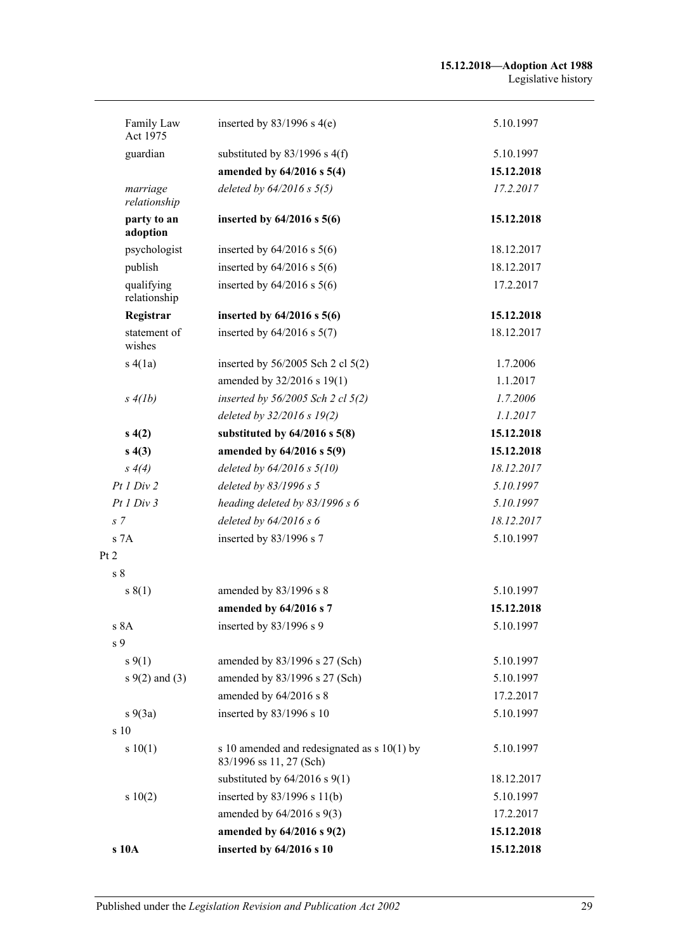| Family Law<br>Act 1975     | inserted by $83/1996$ s 4(e)                                             | 5.10.1997  |
|----------------------------|--------------------------------------------------------------------------|------------|
| guardian                   | substituted by $83/1996$ s $4(f)$                                        | 5.10.1997  |
|                            | amended by 64/2016 s 5(4)                                                | 15.12.2018 |
| marriage<br>relationship   | deleted by $64/2016$ s $5(5)$                                            | 17.2.2017  |
| party to an<br>adoption    | inserted by $64/2016$ s $5(6)$                                           | 15.12.2018 |
| psychologist               | inserted by $64/2016$ s $5(6)$                                           | 18.12.2017 |
| publish                    | inserted by $64/2016$ s $5(6)$                                           | 18.12.2017 |
| qualifying<br>relationship | inserted by $64/2016$ s $5(6)$                                           | 17.2.2017  |
| Registrar                  | inserted by $64/2016$ s $5(6)$                                           | 15.12.2018 |
| statement of<br>wishes     | inserted by $64/2016$ s $5(7)$                                           | 18.12.2017 |
| s(4(a))                    | inserted by $56/2005$ Sch 2 cl $5(2)$                                    | 1.7.2006   |
|                            | amended by 32/2016 s 19(1)                                               | 1.1.2017   |
| s(4(b)                     | inserted by $56/2005$ Sch 2 cl $5(2)$                                    | 1.7.2006   |
|                            | deleted by 32/2016 s 19(2)                                               | 1.1.2017   |
| s(4(2))                    | substituted by $64/2016$ s $5(8)$                                        | 15.12.2018 |
| s(4(3))                    | amended by 64/2016 s 5(9)                                                | 15.12.2018 |
| $s \, 4(4)$                | deleted by $64/2016$ s $5(10)$                                           | 18.12.2017 |
| Pt1 Div2                   | deleted by 83/1996 s 5                                                   | 5.10.1997  |
| Pt1 Div3                   | heading deleted by 83/1996 s 6                                           | 5.10.1997  |
| s <sub>7</sub>             | deleted by $64/2016 s 6$                                                 | 18.12.2017 |
| s 7A                       | inserted by 83/1996 s 7                                                  | 5.10.1997  |
| Pt 2                       |                                                                          |            |
| s <sub>8</sub>             |                                                                          |            |
| s(1)                       | amended by 83/1996 s 8                                                   | 5.10.1997  |
|                            | amended by 64/2016 s 7                                                   | 15.12.2018 |
| s 8A                       | inserted by 83/1996 s 9                                                  | 5.10.1997  |
| s <sub>9</sub>             |                                                                          |            |
| $s \, 9(1)$                | amended by 83/1996 s 27 (Sch)                                            | 5.10.1997  |
| $s \, 9(2)$ and (3)        | amended by 83/1996 s 27 (Sch)                                            | 5.10.1997  |
|                            | amended by 64/2016 s 8                                                   | 17.2.2017  |
| $s\ 9(3a)$                 | inserted by 83/1996 s 10                                                 | 5.10.1997  |
| s 10                       |                                                                          |            |
| s 10(1)                    | s 10 amended and redesignated as $s$ 10(1) by<br>83/1996 ss 11, 27 (Sch) | 5.10.1997  |
|                            | substituted by $64/2016$ s $9(1)$                                        | 18.12.2017 |
| 10(2)                      | inserted by $83/1996$ s $11(b)$                                          | 5.10.1997  |
|                            | amended by $64/2016$ s $9(3)$                                            | 17.2.2017  |
|                            | amended by 64/2016 s 9(2)                                                | 15.12.2018 |
| s 10A                      | inserted by 64/2016 s 10                                                 | 15.12.2018 |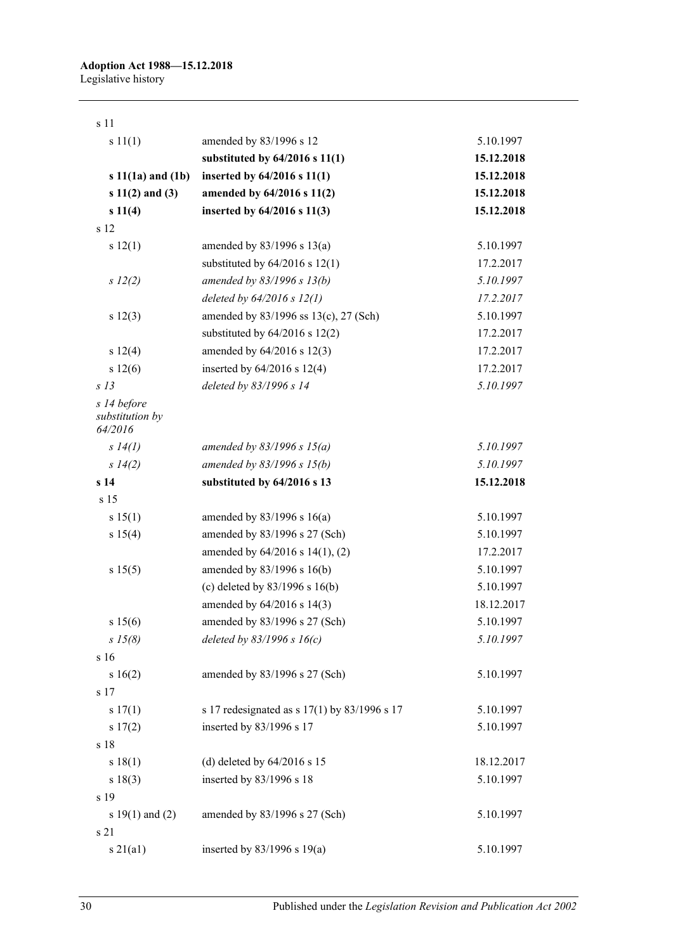| s 11                                      |                                              |            |
|-------------------------------------------|----------------------------------------------|------------|
| s 11(1)                                   | amended by 83/1996 s 12                      | 5.10.1997  |
|                                           | substituted by $64/2016$ s $11(1)$           | 15.12.2018 |
| $s 11(1a)$ and $(1b)$                     | inserted by 64/2016 s 11(1)                  | 15.12.2018 |
| $s 11(2)$ and (3)                         | amended by 64/2016 s 11(2)                   | 15.12.2018 |
| s 11(4)                                   | inserted by 64/2016 s 11(3)                  | 15.12.2018 |
| s 12                                      |                                              |            |
| s 12(1)                                   | amended by $83/1996$ s $13(a)$               | 5.10.1997  |
|                                           | substituted by $64/2016$ s $12(1)$           | 17.2.2017  |
| $s\ 12(2)$                                | amended by 83/1996 s 13(b)                   | 5.10.1997  |
|                                           | deleted by $64/2016$ s $12(1)$               | 17.2.2017  |
| s 12(3)                                   | amended by 83/1996 ss 13(c), 27 (Sch)        | 5.10.1997  |
|                                           | substituted by $64/2016$ s $12(2)$           | 17.2.2017  |
| s 12(4)                                   | amended by 64/2016 s 12(3)                   | 17.2.2017  |
| s 12(6)                                   | inserted by $64/2016$ s 12(4)                | 17.2.2017  |
| s <sub>13</sub>                           | deleted by 83/1996 s 14                      | 5.10.1997  |
| s 14 before<br>substitution by<br>64/2016 |                                              |            |
| s 14(l)                                   | amended by $83/1996 s 15(a)$                 | 5.10.1997  |
| s 14(2)                                   | amended by 83/1996 s 15(b)                   | 5.10.1997  |
| s 14                                      | substituted by 64/2016 s 13                  | 15.12.2018 |
| s 15                                      |                                              |            |
| s 15(1)                                   | amended by $83/1996$ s $16(a)$               | 5.10.1997  |
| s 15(4)                                   | amended by 83/1996 s 27 (Sch)                | 5.10.1997  |
|                                           | amended by $64/2016$ s $14(1)$ , (2)         | 17.2.2017  |
| s 15(5)                                   | amended by 83/1996 s 16(b)                   | 5.10.1997  |
|                                           | (c) deleted by $83/1996$ s $16(b)$           | 5.10.1997  |
|                                           | amended by 64/2016 s 14(3)                   | 18.12.2017 |
| s 15(6)                                   | amended by 83/1996 s 27 (Sch)                | 5.10.1997  |
| $s\,15(8)$                                | deleted by $83/1996 s 16(c)$                 | 5.10.1997  |
| s 16                                      |                                              |            |
| s 16(2)                                   | amended by 83/1996 s 27 (Sch)                | 5.10.1997  |
| s 17                                      |                                              |            |
| s 17(1)                                   | s 17 redesignated as s 17(1) by 83/1996 s 17 | 5.10.1997  |
| s 17(2)                                   | inserted by 83/1996 s 17                     | 5.10.1997  |
| s 18                                      |                                              |            |
| s 18(1)                                   | (d) deleted by $64/2016$ s 15                | 18.12.2017 |
| s 18(3)                                   | inserted by 83/1996 s 18                     | 5.10.1997  |
| s 19                                      |                                              |            |
| s $19(1)$ and $(2)$                       | amended by 83/1996 s 27 (Sch)                | 5.10.1997  |
| s 21                                      |                                              |            |
| s21(a1)                                   | inserted by $83/1996$ s $19(a)$              | 5.10.1997  |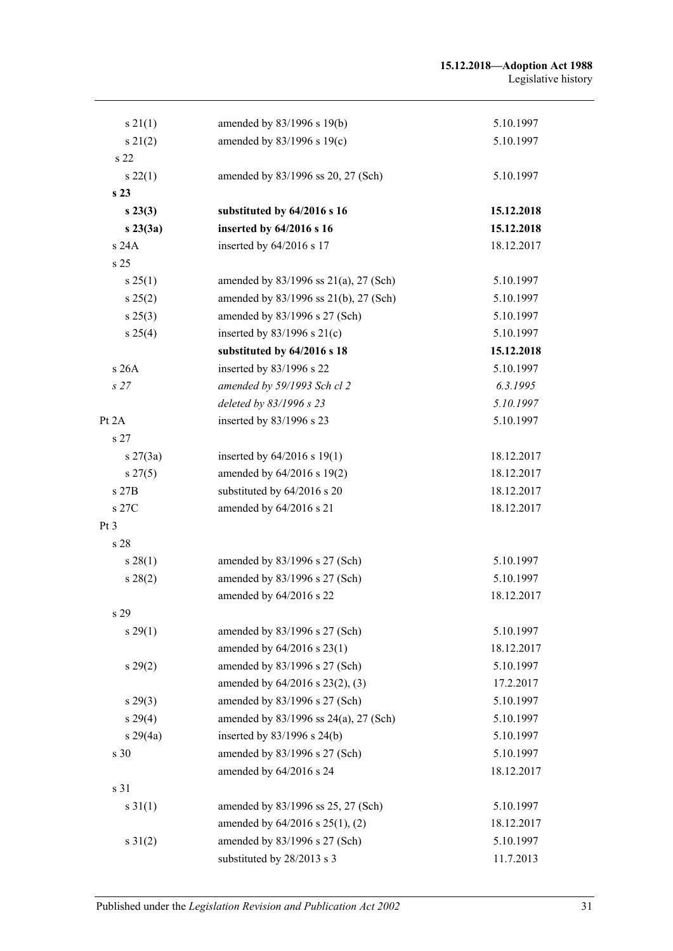| s 21(1)         | amended by 83/1996 s 19(b)                   | 5.10.1997  |
|-----------------|----------------------------------------------|------------|
| $s\,21(2)$      | amended by 83/1996 s 19(c)                   | 5.10.1997  |
| s 22            |                                              |            |
| $s\,22(1)$      | amended by 83/1996 ss 20, 27 (Sch)           | 5.10.1997  |
| s <sub>23</sub> |                                              |            |
| $s\,23(3)$      | substituted by 64/2016 s 16                  | 15.12.2018 |
| s23(3a)         | inserted by 64/2016 s 16                     | 15.12.2018 |
| s 24A           | inserted by 64/2016 s 17                     | 18.12.2017 |
| s <sub>25</sub> |                                              |            |
| $s \, 25(1)$    | amended by $83/1996$ ss $21(a)$ , $27$ (Sch) | 5.10.1997  |
| s 25(2)         | amended by 83/1996 ss 21(b), 27 (Sch)        | 5.10.1997  |
| $s\,25(3)$      | amended by 83/1996 s 27 (Sch)                | 5.10.1997  |
| s 25(4)         | inserted by $83/1996$ s $21(c)$              | 5.10.1997  |
|                 | substituted by 64/2016 s 18                  | 15.12.2018 |
| s 26A           | inserted by 83/1996 s 22                     | 5.10.1997  |
| s27             | amended by 59/1993 Sch cl 2                  | 6.3.1995   |
|                 | deleted by 83/1996 s 23                      | 5.10.1997  |
| Pt 2A           | inserted by 83/1996 s 23                     | 5.10.1997  |
| s <sub>27</sub> |                                              |            |
| $s \, 27(3a)$   | inserted by $64/2016$ s 19(1)                | 18.12.2017 |
| $s \, 27(5)$    | amended by 64/2016 s 19(2)                   | 18.12.2017 |
| s 27B           | substituted by 64/2016 s 20                  | 18.12.2017 |
| s 27C           | amended by 64/2016 s 21                      | 18.12.2017 |
| Pt <sub>3</sub> |                                              |            |
| s 28            |                                              |            |
| $s\,28(1)$      | amended by 83/1996 s 27 (Sch)                | 5.10.1997  |
| s 28(2)         | amended by 83/1996 s 27 (Sch)                | 5.10.1997  |
|                 | amended by 64/2016 s 22                      | 18.12.2017 |
| s 29            |                                              |            |
| s 29(1)         | amended by 83/1996 s 27 (Sch)                | 5.10.1997  |
|                 | amended by 64/2016 s 23(1)                   | 18.12.2017 |
| $s\,29(2)$      | amended by 83/1996 s 27 (Sch)                | 5.10.1997  |
|                 | amended by 64/2016 s 23(2), (3)              | 17.2.2017  |
| $s\,29(3)$      | amended by 83/1996 s 27 (Sch)                | 5.10.1997  |
| $s\,29(4)$      | amended by 83/1996 ss 24(a), 27 (Sch)        | 5.10.1997  |
| $s\,29(4a)$     | inserted by 83/1996 s 24(b)                  | 5.10.1997  |
| s 30            | amended by 83/1996 s 27 (Sch)                | 5.10.1997  |
|                 | amended by 64/2016 s 24                      | 18.12.2017 |
| s 31            |                                              |            |
| $s \, 31(1)$    | amended by 83/1996 ss 25, 27 (Sch)           | 5.10.1997  |
|                 | amended by 64/2016 s 25(1), (2)              | 18.12.2017 |
| $s \, 31(2)$    | amended by 83/1996 s 27 (Sch)                | 5.10.1997  |
|                 | substituted by 28/2013 s 3                   | 11.7.2013  |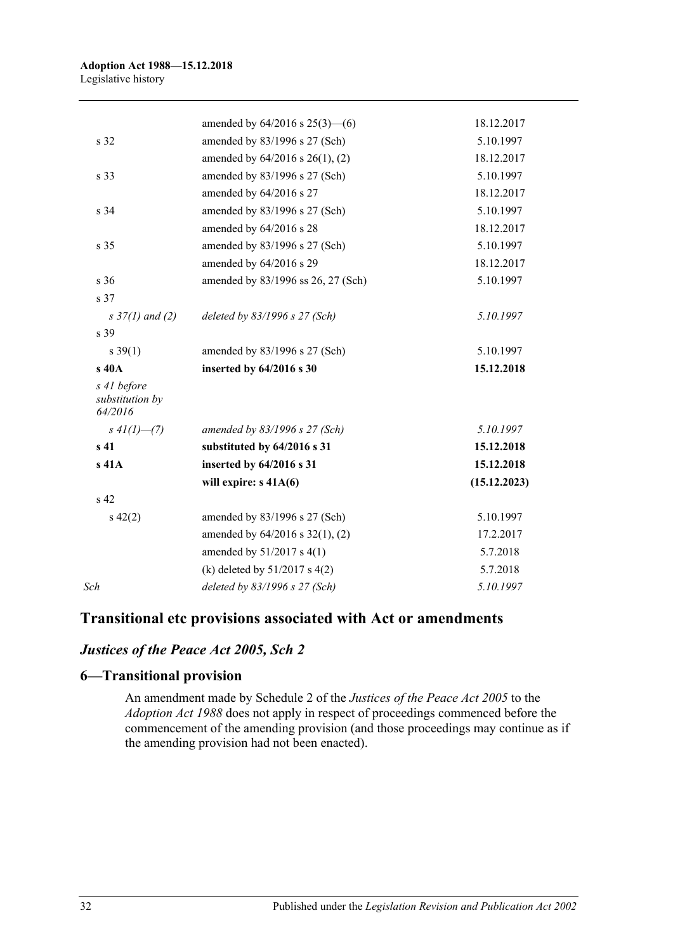| amended by $64/2016$ s $25(3)$ — $(6)$ | 18.12.2017   |
|----------------------------------------|--------------|
| amended by 83/1996 s 27 (Sch)          | 5.10.1997    |
| amended by 64/2016 s 26(1), (2)        | 18.12.2017   |
| amended by 83/1996 s 27 (Sch)          | 5.10.1997    |
| amended by 64/2016 s 27                | 18.12.2017   |
| amended by 83/1996 s 27 (Sch)          | 5.10.1997    |
| amended by 64/2016 s 28                | 18.12.2017   |
| amended by 83/1996 s 27 (Sch)          | 5.10.1997    |
| amended by 64/2016 s 29                | 18.12.2017   |
| amended by 83/1996 ss 26, 27 (Sch)     | 5.10.1997    |
|                                        |              |
| deleted by 83/1996 s 27 (Sch)          | 5.10.1997    |
|                                        |              |
| amended by 83/1996 s 27 (Sch)          | 5.10.1997    |
| inserted by 64/2016 s 30               | 15.12.2018   |
|                                        |              |
| amended by $83/1996$ s 27 (Sch)        | 5.10.1997    |
| substituted by 64/2016 s 31            | 15.12.2018   |
| inserted by 64/2016 s 31               | 15.12.2018   |
| will expire: $s$ 41A(6)                | (15.12.2023) |
|                                        |              |
| amended by 83/1996 s 27 (Sch)          | 5.10.1997    |
| amended by $64/2016$ s $32(1)$ , (2)   | 17.2.2017    |
| amended by $51/2017$ s 4(1)            | 5.7.2018     |
| (k) deleted by $51/2017$ s 4(2)        | 5.7.2018     |
| deleted by 83/1996 s 27 (Sch)          | 5.10.1997    |
|                                        |              |

# **Transitional etc provisions associated with Act or amendments**

# *Justices of the Peace Act 2005, Sch 2*

### **6—Transitional provision**

An amendment made by Schedule 2 of the *[Justices of the Peace Act](http://www.legislation.sa.gov.au/index.aspx?action=legref&type=act&legtitle=Justices%20of%20the%20Peace%20Act%202005) 2005* to the *[Adoption Act](http://www.legislation.sa.gov.au/index.aspx?action=legref&type=act&legtitle=Adoption%20Act%201988) 1988* does not apply in respect of proceedings commenced before the commencement of the amending provision (and those proceedings may continue as if the amending provision had not been enacted).